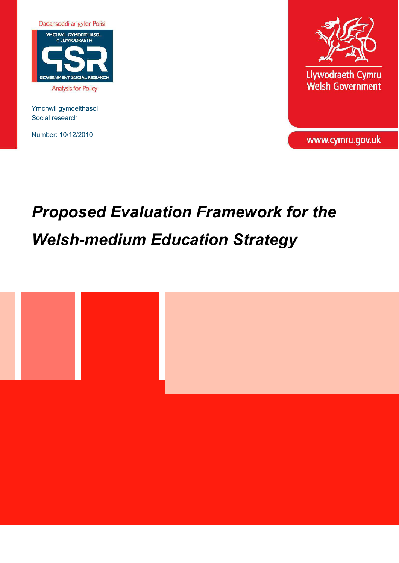

Ymchwil gymdeithasol Social research

Number: 10/12/2010



Llywodraeth Cymru Welsh Government

www.cymru.gov.uk

# *Proposed Evaluation Framework for the Welsh-medium Education Strategy*

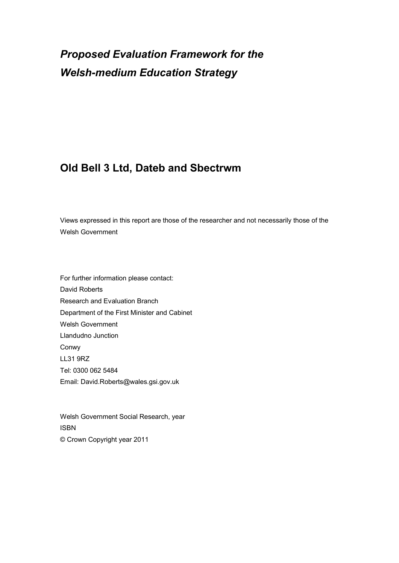# *Proposed Evaluation Framework for the Welsh-medium Education Strategy*

# **Old Bell 3 Ltd, Dateb and Sbectrwm**

Views expressed in this report are those of the researcher and not necessarily those of the Welsh Government

For further information please contact: David Roberts Research and Evaluation Branch Department of the First Minister and Cabinet Welsh Government Llandudno Junction Conwy LL31 9RZ Tel: 0300 062 5484 Email: David.Roberts@wales.gsi.gov.uk

Welsh Government Social Research, year ISBN © Crown Copyright year 2011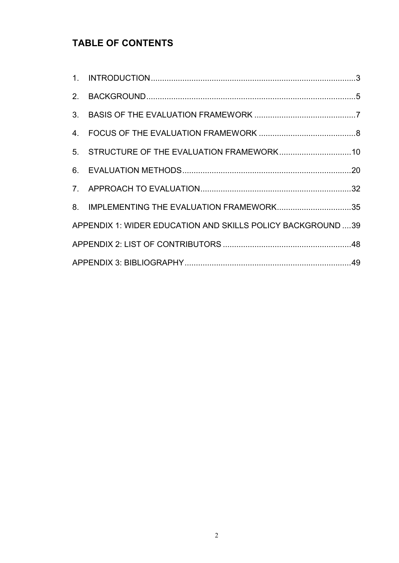# **TABLE OF CONTENTS**

| 8. IMPLEMENTING THE EVALUATION FRAMEWORK35                  |  |
|-------------------------------------------------------------|--|
| APPENDIX 1: WIDER EDUCATION AND SKILLS POLICY BACKGROUND 39 |  |
|                                                             |  |
|                                                             |  |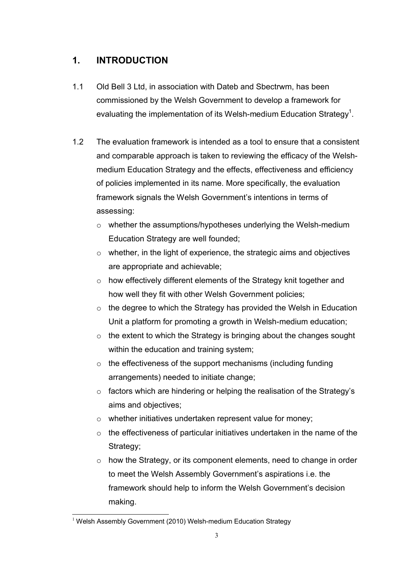## <span id="page-3-0"></span>**1. INTRODUCTION**

- 1.1 Old Bell 3 Ltd, in association with Dateb and Sbectrwm, has been commissioned by the Welsh Government to develop a framework for evaluating the implementation of its Welsh-medium Education Strategy<sup>[1](#page-3-1)</sup>.
- 1.2 The evaluation framework is intended as a tool to ensure that a consistent and comparable approach is taken to reviewing the efficacy of the Welshmedium Education Strategy and the effects, effectiveness and efficiency of policies implemented in its name. More specifically, the evaluation framework signals the Welsh Government's intentions in terms of assessing:
	- o whether the assumptions/hypotheses underlying the Welsh-medium Education Strategy are well founded;
	- $\circ$  whether, in the light of experience, the strategic aims and objectives are appropriate and achievable;
	- o how effectively different elements of the Strategy knit together and how well they fit with other Welsh Government policies;
	- $\circ$  the degree to which the Strategy has provided the Welsh in Education Unit a platform for promoting a growth in Welsh-medium education;
	- $\circ$  the extent to which the Strategy is bringing about the changes sought within the education and training system;
	- $\circ$  the effectiveness of the support mechanisms (including funding arrangements) needed to initiate change;
	- $\circ$  factors which are hindering or helping the realisation of the Strategy's aims and objectives;
	- o whether initiatives undertaken represent value for money;
	- o the effectiveness of particular initiatives undertaken in the name of the Strategy;
	- $\circ$  how the Strategy, or its component elements, need to change in order to meet the Welsh Assembly Government's aspirations i.e. the framework should help to inform the Welsh Government's decision making.

<span id="page-3-1"></span><sup>-</sup><sup>1</sup> Welsh Assembly Government (2010) Welsh-medium Education Strategy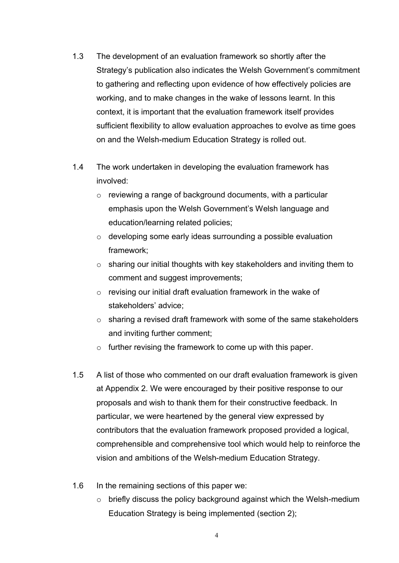- 1.3 The development of an evaluation framework so shortly after the Strategy's publication also indicates the Welsh Government's commitment to gathering and reflecting upon evidence of how effectively policies are working, and to make changes in the wake of lessons learnt. In this context, it is important that the evaluation framework itself provides sufficient flexibility to allow evaluation approaches to evolve as time goes on and the Welsh-medium Education Strategy is rolled out.
- 1.4 The work undertaken in developing the evaluation framework has involved:
	- o reviewing a range of background documents, with a particular emphasis upon the Welsh Government's Welsh language and education/learning related policies;
	- o developing some early ideas surrounding a possible evaluation framework;
	- $\circ$  sharing our initial thoughts with key stakeholders and inviting them to comment and suggest improvements;
	- $\circ$  revising our initial draft evaluation framework in the wake of stakeholders' advice;
	- $\circ$  sharing a revised draft framework with some of the same stakeholders and inviting further comment;
	- $\circ$  further revising the framework to come up with this paper.
- 1.5 A list of those who commented on our draft evaluation framework is given at Appendix 2. We were encouraged by their positive response to our proposals and wish to thank them for their constructive feedback. In particular, we were heartened by the general view expressed by contributors that the evaluation framework proposed provided a logical, comprehensible and comprehensive tool which would help to reinforce the vision and ambitions of the Welsh-medium Education Strategy.
- 1.6 In the remaining sections of this paper we:
	- $\circ$  briefly discuss the policy background against which the Welsh-medium Education Strategy is being implemented (section 2);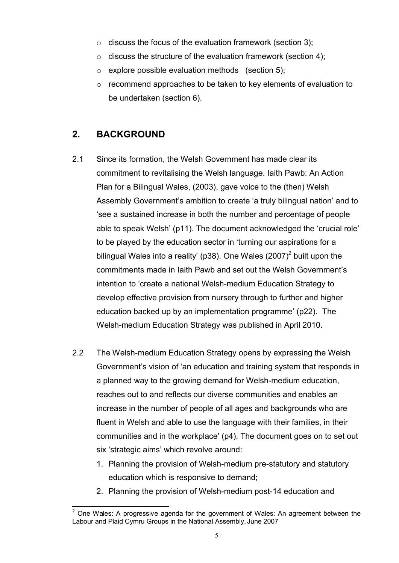- $\circ$  discuss the focus of the evaluation framework (section 3);
- $\circ$  discuss the structure of the evaluation framework (section 4);
- o explore possible evaluation methods (section 5);
- o recommend approaches to be taken to key elements of evaluation to be undertaken (section 6).

### <span id="page-5-0"></span>**2. BACKGROUND**

- 2.1 Since its formation, the Welsh Government has made clear its commitment to revitalising the Welsh language. Iaith Pawb: An Action Plan for a Bilingual Wales, (2003), gave voice to the (then) Welsh Assembly Government's ambition to create 'a truly bilingual nation' and to 'see a sustained increase in both the number and percentage of people able to speak Welsh' (p11). The document acknowledged the 'crucial role' to be played by the education sector in 'turning our aspirations for a bilingual Wales into a reality' (p38). One Wales  $(2007)^2$  $(2007)^2$  $(2007)^2$  built upon the commitments made in Iaith Pawb and set out the Welsh Government's intention to 'create a national Welsh-medium Education Strategy to develop effective provision from nursery through to further and higher education backed up by an implementation programme' (p22). The Welsh-medium Education Strategy was published in April 2010.
- 2.2 The Welsh-medium Education Strategy opens by expressing the Welsh Government's vision of 'an education and training system that responds in a planned way to the growing demand for Welsh-medium education, reaches out to and reflects our diverse communities and enables an increase in the number of people of all ages and backgrounds who are fluent in Welsh and able to use the language with their families, in their communities and in the workplace' (p4). The document goes on to set out six 'strategic aims' which revolve around:
	- 1. Planning the provision of Welsh-medium pre-statutory and statutory education which is responsive to demand;
	- 2. Planning the provision of Welsh-medium post-14 education and

<span id="page-5-1"></span>**ENEVAL 2**<br><sup>2</sup> One Wales: A progressive agenda for the government of Wales: An agreement between the Labour and Plaid Cymru Groups in the National Assembly, June 2007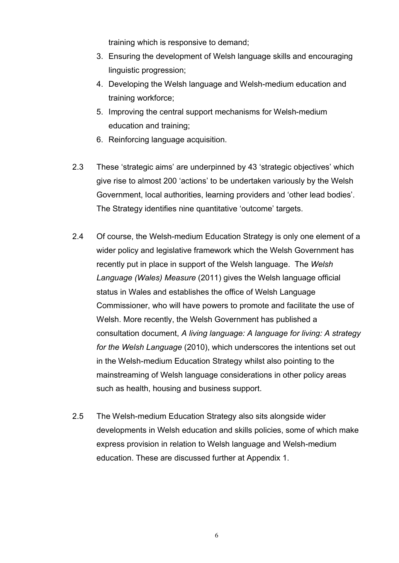training which is responsive to demand;

- 3. Ensuring the development of Welsh language skills and encouraging linguistic progression;
- 4. Developing the Welsh language and Welsh-medium education and training workforce;
- 5. Improving the central support mechanisms for Welsh-medium education and training;
- 6. Reinforcing language acquisition.
- 2.3 These 'strategic aims' are underpinned by 43 'strategic objectives' which give rise to almost 200 'actions' to be undertaken variously by the Welsh Government, local authorities, learning providers and 'other lead bodies'. The Strategy identifies nine quantitative 'outcome' targets.
- 2.4 Of course, the Welsh-medium Education Strategy is only one element of a wider policy and legislative framework which the Welsh Government has recently put in place in support of the Welsh language. The *Welsh Language (Wales) Measure* (2011) gives the Welsh language official status in Wales and establishes the office of Welsh Language Commissioner, who will have powers to promote and facilitate the use of Welsh. More recently, the Welsh Government has published a consultation document, *A living language: A language for living: A strategy for the Welsh Language* (2010), which underscores the intentions set out in the Welsh-medium Education Strategy whilst also pointing to the mainstreaming of Welsh language considerations in other policy areas such as health, housing and business support.
- 2.5 The Welsh-medium Education Strategy also sits alongside wider developments in Welsh education and skills policies, some of which make express provision in relation to Welsh language and Welsh-medium education. These are discussed further at Appendix 1.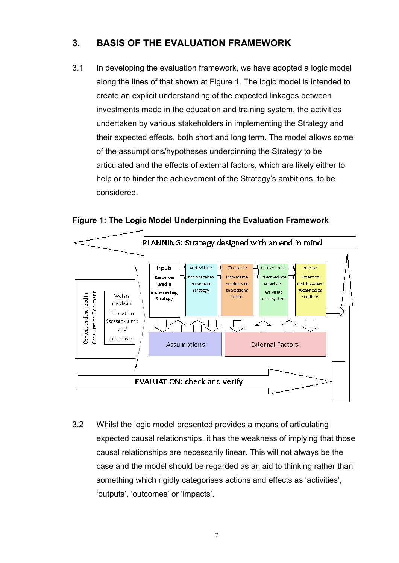### <span id="page-7-0"></span>**3. BASIS OF THE EVALUATION FRAMEWORK**

3.1 In developing the evaluation framework, we have adopted a logic model along the lines of that shown at Figure 1. The logic model is intended to create an explicit understanding of the expected linkages between investments made in the education and training system, the activities undertaken by various stakeholders in implementing the Strategy and their expected effects, both short and long term. The model allows some of the assumptions/hypotheses underpinning the Strategy to be articulated and the effects of external factors, which are likely either to help or to hinder the achievement of the Strategy's ambitions, to be considered.

**Figure 1: The Logic Model Underpinning the Evaluation Framework** 



3.2 Whilst the logic model presented provides a means of articulating expected causal relationships, it has the weakness of implying that those causal relationships are necessarily linear. This will not always be the case and the model should be regarded as an aid to thinking rather than something which rigidly categorises actions and effects as 'activities', 'outputs', 'outcomes' or 'impacts'.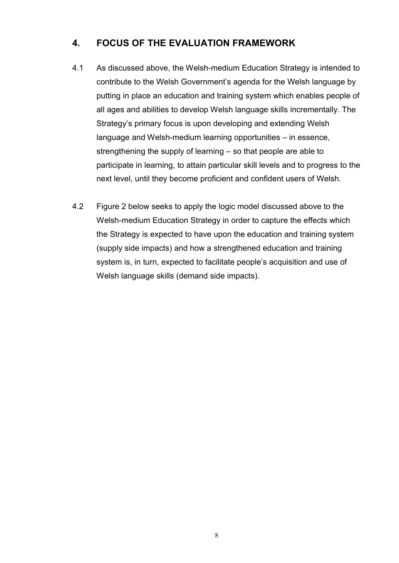### <span id="page-8-0"></span>**4. FOCUS OF THE EVALUATION FRAMEWORK**

- 4.1 As discussed above, the Welsh-medium Education Strategy is intended to contribute to the Welsh Government's agenda for the Welsh language by putting in place an education and training system which enables people of all ages and abilities to develop Welsh language skills incrementally. The Strategy's primary focus is upon developing and extending Welsh language and Welsh-medium learning opportunities – in essence, strengthening the supply of learning – so that people are able to participate in learning, to attain particular skill levels and to progress to the next level, until they become proficient and confident users of Welsh.
- 4.2 Figure 2 below seeks to apply the logic model discussed above to the Welsh-medium Education Strategy in order to capture the effects which the Strategy is expected to have upon the education and training system (supply side impacts) and how a strengthened education and training system is, in turn, expected to facilitate people's acquisition and use of Welsh language skills (demand side impacts).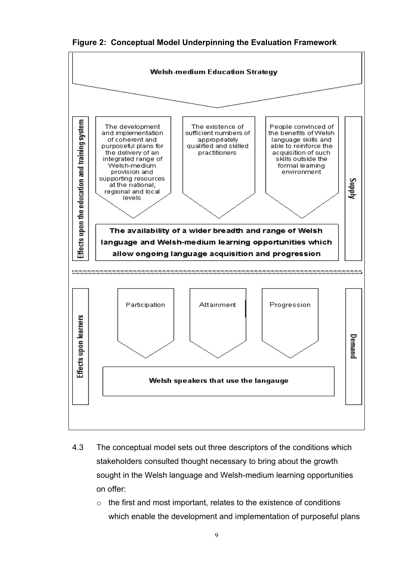**Figure 2: Conceptual Model Underpinning the Evaluation Framework** 



- 4.3 The conceptual model sets out three descriptors of the conditions which stakeholders consulted thought necessary to bring about the growth sought in the Welsh language and Welsh-medium learning opportunities on offer:
	- o the first and most important, relates to the existence of conditions which enable the development and implementation of purposeful plans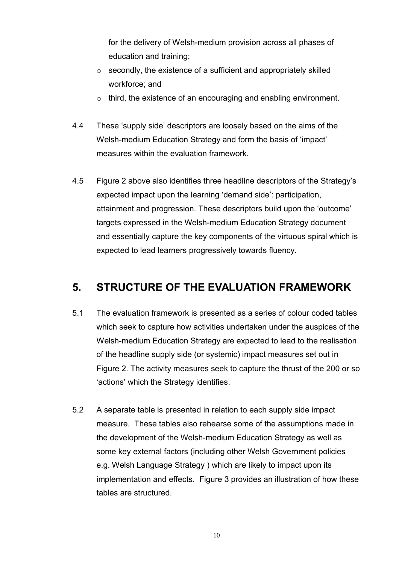for the delivery of Welsh-medium provision across all phases of education and training;

- $\circ$  secondly, the existence of a sufficient and appropriately skilled workforce; and
- o third, the existence of an encouraging and enabling environment.
- 4.4 These 'supply side' descriptors are loosely based on the aims of the Welsh-medium Education Strategy and form the basis of 'impact' measures within the evaluation framework.
- 4.5 Figure 2 above also identifies three headline descriptors of the Strategy's expected impact upon the learning 'demand side': participation, attainment and progression. These descriptors build upon the 'outcome' targets expressed in the Welsh-medium Education Strategy document and essentially capture the key components of the virtuous spiral which is expected to lead learners progressively towards fluency.

# <span id="page-10-0"></span>**5. STRUCTURE OF THE EVALUATION FRAMEWORK**

- 5.1 The evaluation framework is presented as a series of colour coded tables which seek to capture how activities undertaken under the auspices of the Welsh-medium Education Strategy are expected to lead to the realisation of the headline supply side (or systemic) impact measures set out in Figure 2. The activity measures seek to capture the thrust of the 200 or so 'actions' which the Strategy identifies.
- 5.2 A separate table is presented in relation to each supply side impact measure. These tables also rehearse some of the assumptions made in the development of the Welsh-medium Education Strategy as well as some key external factors (including other Welsh Government policies e.g. Welsh Language Strategy ) which are likely to impact upon its implementation and effects. Figure 3 provides an illustration of how these tables are structured.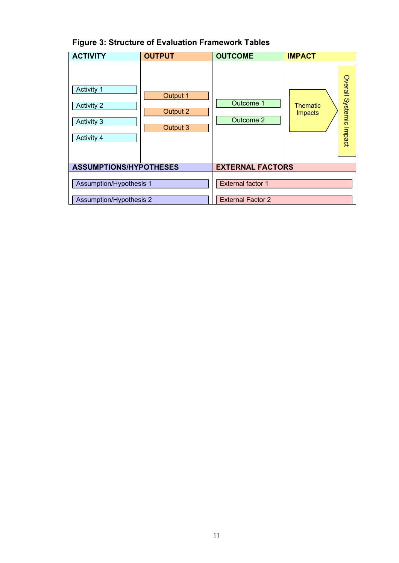| <b>Figure 3: Structure of Evaluation Framework Tables</b> |  |
|-----------------------------------------------------------|--|
|-----------------------------------------------------------|--|

| <b>ACTIVITY</b>                                             | <b>OUTPUT</b>                    | <b>OUTCOME</b>           | <b>IMPACT</b>                                         |  |  |  |  |
|-------------------------------------------------------------|----------------------------------|--------------------------|-------------------------------------------------------|--|--|--|--|
| Activity 1<br><b>Activity 2</b><br>Activity 3<br>Activity 4 | Output 1<br>Output 2<br>Output 3 | Outcome 1<br>Outcome 2   | Overall Systemic Impact<br><b>Thematic</b><br>Impacts |  |  |  |  |
| <b>ASSUMPTIONS/HYPOTHESES</b>                               |                                  | <b>EXTERNAL FACTORS</b>  |                                                       |  |  |  |  |
| Assumption/Hypothesis 1                                     |                                  | <b>External factor 1</b> |                                                       |  |  |  |  |
| <b>Assumption/Hypothesis 2</b>                              |                                  | <b>External Factor 2</b> |                                                       |  |  |  |  |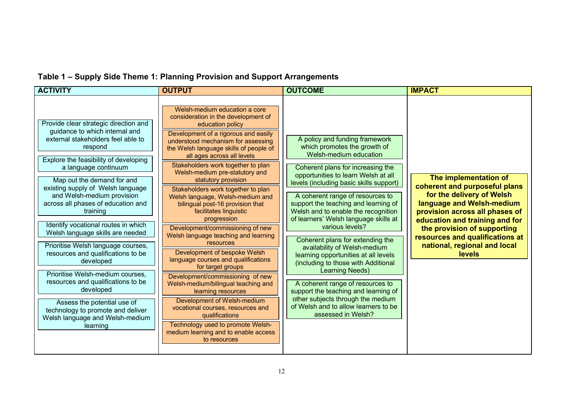# **Table 1 – Supply Side Theme 1: Planning Provision and Support Arrangements**

| <b>ACTIVITY</b>                                                                                                                                                                                                                                                                                                                                                                                                                                                                                                                                                                                                                                                                                                            | <b>OUTPUT</b>                                                                                                                                                                                                                                                                                                                                                                                                                                                                                                                                                                                                                                                                                                                                                                                                                                                                                                                                                                 | <b>OUTCOME</b>                                                                                                                                                                                                                                                                                                                                                                                                                                                                                                                                                                                                                                                                                                                                             | <b>IMPACT</b>                                                                                                                                                                                                                                                                                    |
|----------------------------------------------------------------------------------------------------------------------------------------------------------------------------------------------------------------------------------------------------------------------------------------------------------------------------------------------------------------------------------------------------------------------------------------------------------------------------------------------------------------------------------------------------------------------------------------------------------------------------------------------------------------------------------------------------------------------------|-------------------------------------------------------------------------------------------------------------------------------------------------------------------------------------------------------------------------------------------------------------------------------------------------------------------------------------------------------------------------------------------------------------------------------------------------------------------------------------------------------------------------------------------------------------------------------------------------------------------------------------------------------------------------------------------------------------------------------------------------------------------------------------------------------------------------------------------------------------------------------------------------------------------------------------------------------------------------------|------------------------------------------------------------------------------------------------------------------------------------------------------------------------------------------------------------------------------------------------------------------------------------------------------------------------------------------------------------------------------------------------------------------------------------------------------------------------------------------------------------------------------------------------------------------------------------------------------------------------------------------------------------------------------------------------------------------------------------------------------------|--------------------------------------------------------------------------------------------------------------------------------------------------------------------------------------------------------------------------------------------------------------------------------------------------|
| Provide clear strategic direction and<br>guidance to which internal and<br>external stakeholders feel able to<br>respond<br>Explore the feasibility of developing<br>a language continuum<br>Map out the demand for and<br>existing supply of Welsh language<br>and Welsh-medium provision<br>across all phases of education and<br>training<br>Identify vocational routes in which<br>Welsh language skills are needed<br>Prioritise Welsh language courses,<br>resources and qualifications to be<br>developed<br>Prioritise Welsh-medium courses,<br>resources and qualifications to be<br>developed<br>Assess the potential use of<br>technology to promote and deliver<br>Welsh language and Welsh-medium<br>learning | Welsh-medium education a core<br>consideration in the development of<br>education policy<br>Development of a rigorous and easily<br>understood mechanism for assessing<br>the Welsh language skills of people of<br>all ages across all levels<br>Stakeholders work together to plan<br>Welsh-medium pre-statutory and<br>statutory provision<br>Stakeholders work together to plan<br>Welsh language, Welsh-medium and<br>bilingual post-16 provision that<br>facilitates linguistic<br>progression<br>Development/commissioning of new<br>Welsh language teaching and learning<br>resources<br>Development of bespoke Welsh<br>language courses and qualifications<br>for target groups<br>Development/commissioning of new<br>Welsh-medium/bilingual teaching and<br>learning resources<br>Development of Welsh-medium<br>vocational courses, resources and<br>qualifications<br>Technology used to promote Welsh-<br>medium learning and to enable access<br>to resources | A policy and funding framework<br>which promotes the growth of<br>Welsh-medium education<br>Coherent plans for increasing the<br>opportunities to learn Welsh at all<br>levels (including basic skills support)<br>A coherent range of resources to<br>support the teaching and learning of<br>Welsh and to enable the recognition<br>of learners' Welsh language skills at<br>various levels?<br>Coherent plans for extending the<br>availability of Welsh-medium<br>learning opportunities at all levels<br>(including to those with Additional<br><b>Learning Needs)</b><br>A coherent range of resources to<br>support the teaching and learning of<br>other subjects through the medium<br>of Welsh and to allow learners to be<br>assessed in Welsh? | The implementation of<br>coherent and purposeful plans<br>for the delivery of Welsh<br>language and Welsh-medium<br>provision across all phases of<br>education and training and for<br>the provision of supporting<br>resources and qualifications at<br>national, regional and local<br>levels |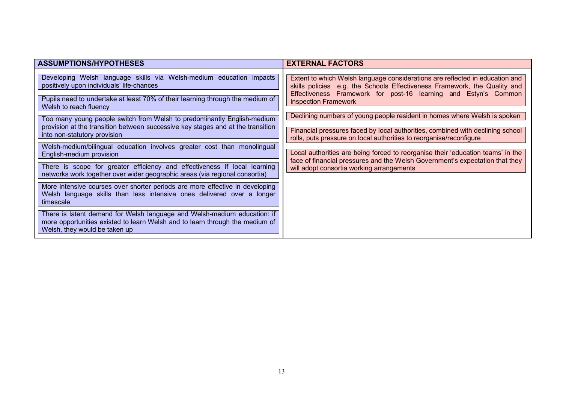| <b>ASSUMPTIONS/HYPOTHESES</b>                                                                                                                                                                                                                                                                                                                                                                                             | <b>EXTERNAL FACTORS</b>                                                                                                                                                                                                                                                                                                                                                                                                                                                                           |
|---------------------------------------------------------------------------------------------------------------------------------------------------------------------------------------------------------------------------------------------------------------------------------------------------------------------------------------------------------------------------------------------------------------------------|---------------------------------------------------------------------------------------------------------------------------------------------------------------------------------------------------------------------------------------------------------------------------------------------------------------------------------------------------------------------------------------------------------------------------------------------------------------------------------------------------|
| Developing Welsh language skills via Welsh-medium education impacts<br>positively upon individuals' life-chances<br>Pupils need to undertake at least 70% of their learning through the medium of<br>Welsh to reach fluency<br>Too many young people switch from Welsh to predominantly English-medium<br>provision at the transition between successive key stages and at the transition<br>into non-statutory provision | Extent to which Welsh language considerations are reflected in education and<br>skills policies e.g. the Schools Effectiveness Framework, the Quality and<br>Effectiveness Framework for post-16 learning and Estyn's Common<br><b>Inspection Framework</b><br>Declining numbers of young people resident in homes where Welsh is spoken<br>Financial pressures faced by local authorities, combined with declining school<br>rolls, puts pressure on local authorities to reorganise/reconfigure |
| Welsh-medium/bilingual education involves greater cost than monolingual<br>English-medium provision<br>There is scope for greater efficiency and effectiveness if local learning                                                                                                                                                                                                                                          | Local authorities are being forced to reorganise their 'education teams' in the<br>face of financial pressures and the Welsh Government's expectation that they<br>will adopt consortia working arrangements                                                                                                                                                                                                                                                                                      |
| networks work together over wider geographic areas (via regional consortia)<br>More intensive courses over shorter periods are more effective in developing<br>Welsh language skills than less intensive ones delivered over a longer<br>timescale                                                                                                                                                                        |                                                                                                                                                                                                                                                                                                                                                                                                                                                                                                   |
| There is latent demand for Welsh language and Welsh-medium education: if<br>more opportunities existed to learn Welsh and to learn through the medium of<br>Welsh, they would be taken up                                                                                                                                                                                                                                 |                                                                                                                                                                                                                                                                                                                                                                                                                                                                                                   |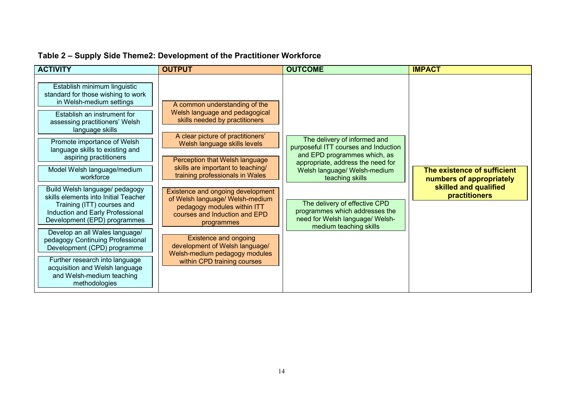| <b>ACTIVITY</b>                                                                                                                                                                                                                                                                                                                                                                                                                                                                                                                                                                                                                                                                                                               | <b>OUTPUT</b>                                                                                                                                                                                                                                                                                                                                                                                                                                                                                                                                                            | <b>OUTCOME</b>                                                                                                                                                                                                                                                                                                               | <b>IMPACT</b>                                                                                            |
|-------------------------------------------------------------------------------------------------------------------------------------------------------------------------------------------------------------------------------------------------------------------------------------------------------------------------------------------------------------------------------------------------------------------------------------------------------------------------------------------------------------------------------------------------------------------------------------------------------------------------------------------------------------------------------------------------------------------------------|--------------------------------------------------------------------------------------------------------------------------------------------------------------------------------------------------------------------------------------------------------------------------------------------------------------------------------------------------------------------------------------------------------------------------------------------------------------------------------------------------------------------------------------------------------------------------|------------------------------------------------------------------------------------------------------------------------------------------------------------------------------------------------------------------------------------------------------------------------------------------------------------------------------|----------------------------------------------------------------------------------------------------------|
| Establish minimum linguistic<br>standard for those wishing to work<br>in Welsh-medium settings<br>Establish an instrument for<br>assessing practitioners' Welsh<br>language skills<br>Promote importance of Welsh<br>language skills to existing and<br>aspiring practitioners<br>Model Welsh language/medium<br>workforce<br>Build Welsh language/ pedagogy<br>skills elements into Initial Teacher<br>Training (ITT) courses and<br>Induction and Early Professional<br>Development (EPD) programmes<br>Develop an all Wales language/<br>pedagogy Continuing Professional<br>Development (CPD) programme<br>Further research into language<br>acquisition and Welsh language<br>and Welsh-medium teaching<br>methodologies | A common understanding of the<br>Welsh language and pedagogical<br>skills needed by practitioners<br>A clear picture of practitioners'<br>Welsh language skills levels<br>Perception that Welsh language<br>skills are important to teaching/<br>training professionals in Wales<br>Existence and ongoing development<br>of Welsh language/ Welsh-medium<br>pedagogy modules within ITT<br>courses and Induction and EPD<br>programmes<br><b>Existence and ongoing</b><br>development of Welsh language/<br>Welsh-medium pedagogy modules<br>within CPD training courses | The delivery of informed and<br>purposeful ITT courses and Induction<br>and EPD programmes which, as<br>appropriate, address the need for<br>Welsh language/ Welsh-medium<br>teaching skills<br>The delivery of effective CPD<br>programmes which addresses the<br>need for Welsh language/ Welsh-<br>medium teaching skills | The existence of sufficient<br>numbers of appropriately<br>skilled and qualified<br><b>practitioners</b> |

### **Table 2 – Supply Side Theme2: Development of the Practitioner Workforce**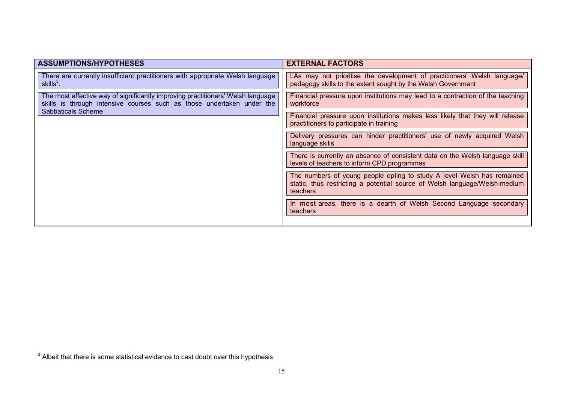| <b>ASSUMPTIONS/HYPOTHESES</b>                                                                                                                             | <b>EXTERNAL FACTORS</b>                                                                                                                                                 |  |  |  |
|-----------------------------------------------------------------------------------------------------------------------------------------------------------|-------------------------------------------------------------------------------------------------------------------------------------------------------------------------|--|--|--|
| There are currently insufficient practitioners with appropriate Welsh language<br>skills $3$ .                                                            | LAs may not prioritise the development of practitioners' Welsh language/<br>pedagogy skills to the extent sought by the Welsh Government                                |  |  |  |
| The most effective way of significantly improving practitioners' Welsh language<br>skills is through intensive courses such as those undertaken under the | Financial pressure upon institutions may lead to a contraction of the teaching<br>workforce                                                                             |  |  |  |
| <b>Sabbaticals Scheme</b>                                                                                                                                 | Financial pressure upon institutions makes less likely that they will release<br>practitioners to participate in training                                               |  |  |  |
|                                                                                                                                                           | Delivery pressures can hinder practitioners' use of newly acquired Welsh<br>language skills                                                                             |  |  |  |
|                                                                                                                                                           | There is currently an absence of consistent data on the Welsh language skill<br>levels of teachers to inform CPD programmes                                             |  |  |  |
|                                                                                                                                                           | The numbers of young people opting to study A level Welsh has remained<br>static, thus restricting a potential source of Welsh language/Welsh-medium<br><b>teachers</b> |  |  |  |
|                                                                                                                                                           | In most areas, there is a dearth of Welsh Second Language secondary<br>teachers                                                                                         |  |  |  |
|                                                                                                                                                           |                                                                                                                                                                         |  |  |  |

 3 Albeit that there is some statistical evidence to cast doubt over this hypothesis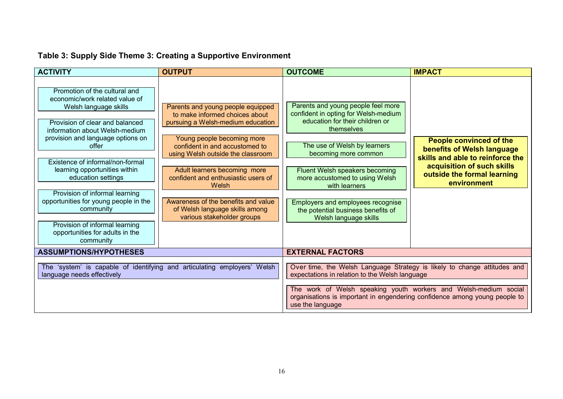# **Table 3: Supply Side Theme 3: Creating a Supportive Environment**

| <b>ACTIVITY</b>                                                                                                                                                                                                                                                                                                                                                                                                                                                                  | <b>OUTPUT</b>                                                                                                                                                                                                                                                                                                                                                                                        | <b>OUTCOME</b>                                                                                                                                                                                                                                                                                                                                                               | <b>IMPACT</b>                                                                                                                                                                |
|----------------------------------------------------------------------------------------------------------------------------------------------------------------------------------------------------------------------------------------------------------------------------------------------------------------------------------------------------------------------------------------------------------------------------------------------------------------------------------|------------------------------------------------------------------------------------------------------------------------------------------------------------------------------------------------------------------------------------------------------------------------------------------------------------------------------------------------------------------------------------------------------|------------------------------------------------------------------------------------------------------------------------------------------------------------------------------------------------------------------------------------------------------------------------------------------------------------------------------------------------------------------------------|------------------------------------------------------------------------------------------------------------------------------------------------------------------------------|
| Promotion of the cultural and<br>economic/work related value of<br>Welsh language skills<br>Provision of clear and balanced<br>information about Welsh-medium<br>provision and language options on<br>offer<br>Existence of informal/non-formal<br>learning opportunities within<br>education settings<br>Provision of informal learning<br>opportunities for young people in the<br>community<br>Provision of informal learning<br>opportunities for adults in the<br>community | Parents and young people equipped<br>to make informed choices about<br>pursuing a Welsh-medium education<br>Young people becoming more<br>confident in and accustomed to<br>using Welsh outside the classroom<br>Adult learners becoming more<br>confident and enthusiastic users of<br>Welsh<br>Awareness of the benefits and value<br>of Welsh language skills among<br>various stakeholder groups | Parents and young people feel more<br>confident in opting for Welsh-medium<br>education for their children or<br>themselves<br>The use of Welsh by learners<br>becoming more common<br>Fluent Welsh speakers becoming<br>more accustomed to using Welsh<br>with learners<br>Employers and employees recognise<br>the potential business benefits of<br>Welsh language skills | <b>People convinced of the</b><br>benefits of Welsh language<br>skills and able to reinforce the<br>acquisition of such skills<br>outside the formal learning<br>environment |
| <b>ASSUMPTIONS/HYPOTHESES</b>                                                                                                                                                                                                                                                                                                                                                                                                                                                    |                                                                                                                                                                                                                                                                                                                                                                                                      | <b>EXTERNAL FACTORS</b>                                                                                                                                                                                                                                                                                                                                                      |                                                                                                                                                                              |
| language needs effectively                                                                                                                                                                                                                                                                                                                                                                                                                                                       | The 'system' is capable of identifying and articulating employers' Welsh                                                                                                                                                                                                                                                                                                                             | Over time, the Welsh Language Strategy is likely to change attitudes and<br>expectations in relation to the Welsh language<br>The work of Welsh speaking youth workers and Welsh-medium social<br>organisations is important in engendering confidence among young people to<br>use the language                                                                             |                                                                                                                                                                              |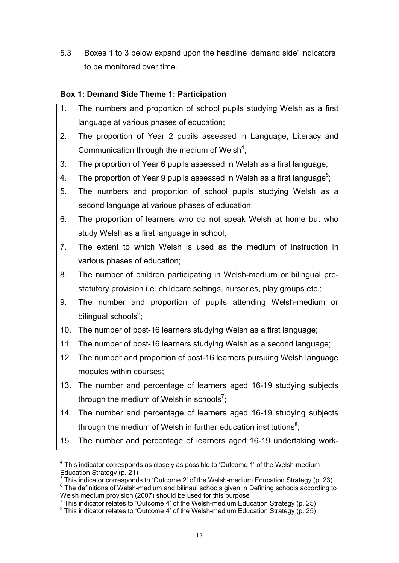5.3 Boxes 1 to 3 below expand upon the headline 'demand side' indicators to be monitored over time.

### **Box 1: Demand Side Theme 1: Participation**

- 1. The numbers and proportion of school pupils studying Welsh as a first language at various phases of education;
- 2. The proportion of Year 2 pupils assessed in Language, Literacy and Communication through the medium of Welsh<sup>[4](#page-17-0)</sup>;
- 3. The proportion of Year 6 pupils assessed in Welsh as a first language;
- 4. The proportion of Year 9 pupils assessed in Welsh as a first language<sup>[5](#page-17-1)</sup>;
- 5. The numbers and proportion of school pupils studying Welsh as a second language at various phases of education;
- 6. The proportion of learners who do not speak Welsh at home but who study Welsh as a first language in school;
- 7. The extent to which Welsh is used as the medium of instruction in various phases of education;
- 8. The number of children participating in Welsh-medium or bilingual prestatutory provision i.e. childcare settings, nurseries, play groups etc.;
- 9. The number and proportion of pupils attending Welsh-medium or bilingual schools<sup>[6](#page-17-2)</sup>;
- 10. The number of post-16 learners studying Welsh as a first language;
- 11. The number of post-16 learners studying Welsh as a second language;
- 12. The number and proportion of post-16 learners pursuing Welsh language modules within courses;
- 13. The number and percentage of learners aged 16-19 studying subjects through the medium of Welsh in schools<sup>[7](#page-17-3)</sup>;
- 14. The number and percentage of learners aged 16-19 studying subjects through the medium of Welsh in further education institutions $^8;$  $^8;$  $^8;$
- 15. The number and percentage of learners aged 16-19 undertaking work-

 $\overline{a}$ 

<span id="page-17-1"></span> $5$  This indicator corresponds to 'Outcome 2' of the Welsh-medium Education Strategy (p. 23)

<span id="page-17-0"></span> $4$  This indicator corresponds as closely as possible to 'Outcome 1' of the Welsh-medium Education Strategy (p. 21)

<span id="page-17-2"></span><sup>&</sup>lt;sup>6</sup> The definitions of Welsh-medium and bilinaul schools given in Defining schools according to Welsh medium provision (2007) should be used for this purpose

<span id="page-17-3"></span> $7$  This indicator relates to 'Outcome 4' of the Welsh-medium Education Strategy (p. 25)

<span id="page-17-4"></span><sup>&</sup>lt;sup>8</sup> This indicator relates to 'Outcome 4' of the Welsh-medium Education Strategy (p. 25)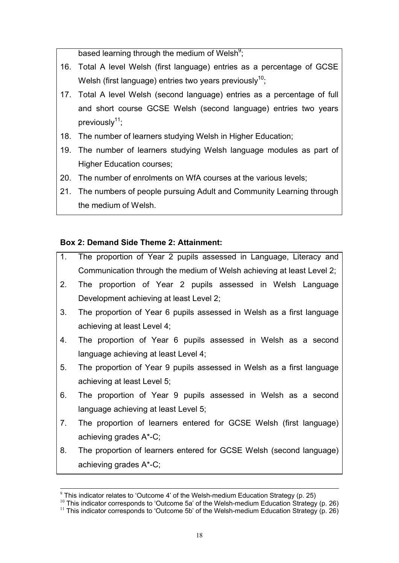based learning through the medium of Welsh<sup>[9](#page-18-0)</sup>;

- 16. Total A level Welsh (first language) entries as a percentage of GCSE Welsh (first language) entries two years previously<sup>[10](#page-18-1)</sup>;
- 17. Total A level Welsh (second language) entries as a percentage of full and short course GCSE Welsh (second language) entries two years previously $11$ ;
- 18. The number of learners studying Welsh in Higher Education;
- 19. The number of learners studying Welsh language modules as part of Higher Education courses;
- 20. The number of enrolments on WfA courses at the various levels;
- 21. The numbers of people pursuing Adult and Community Learning through the medium of Welsh.

#### **Box 2: Demand Side Theme 2: Attainment:**

- 1. The proportion of Year 2 pupils assessed in Language, Literacy and Communication through the medium of Welsh achieving at least Level 2;
- 2. The proportion of Year 2 pupils assessed in Welsh Language Development achieving at least Level 2;
- 3. The proportion of Year 6 pupils assessed in Welsh as a first language achieving at least Level 4;
- 4. The proportion of Year 6 pupils assessed in Welsh as a second language achieving at least Level 4;
- 5. The proportion of Year 9 pupils assessed in Welsh as a first language achieving at least Level 5;
- 6. The proportion of Year 9 pupils assessed in Welsh as a second language achieving at least Level 5;
- 7. The proportion of learners entered for GCSE Welsh (first language) achieving grades A\*-C;
- 8. The proportion of learners entered for GCSE Welsh (second language) achieving grades A\*-C;

 $\overline{a}$  $9$  This indicator relates to 'Outcome 4' of the Welsh-medium Education Strategy (p. 25)

<span id="page-18-2"></span><span id="page-18-1"></span><span id="page-18-0"></span> $10$  This indicator corresponds to 'Outcome 5a' of the Welsh-medium Education Strategy (p. 26)

<sup>&</sup>lt;sup>11</sup> This indicator corresponds to 'Outcome 5b' of the Welsh-medium Education Strategy (p. 26)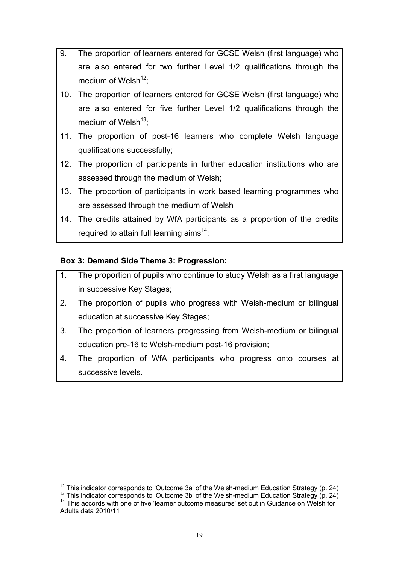- 9. The proportion of learners entered for GCSE Welsh (first language) who are also entered for two further Level 1/2 qualifications through the medium of Welsh<sup>[12](#page-19-0)</sup>:
- 10. The proportion of learners entered for GCSE Welsh (first language) who are also entered for five further Level 1/2 qualifications through the medium of Welsh $13$ :
- 11. The proportion of post-16 learners who complete Welsh language qualifications successfully;
- 12. The proportion of participants in further education institutions who are assessed through the medium of Welsh;
- 13. The proportion of participants in work based learning programmes who are assessed through the medium of Welsh
- 14. The credits attained by WfA participants as a proportion of the credits required to attain full learning aims $^{14}$  $^{14}$  $^{14}$ ;

### **Box 3: Demand Side Theme 3: Progression:**

- 1. The proportion of pupils who continue to study Welsh as a first language in successive Key Stages;
- 2. The proportion of pupils who progress with Welsh-medium or bilingual education at successive Key Stages;
- 3. The proportion of learners progressing from Welsh-medium or bilingual education pre-16 to Welsh-medium post-16 provision;
- 4. The proportion of WfA participants who progress onto courses at successive levels.

<span id="page-19-0"></span> $\overline{a}$  $12$  This indicator corresponds to 'Outcome 3a' of the Welsh-medium Education Strategy (p. 24)

<span id="page-19-2"></span><span id="page-19-1"></span><sup>&</sup>lt;sup>13</sup> This indicator corresponds to 'Outcome 3b' of the Welsh-medium Education Strategy (p. 24) <sup>14</sup> This accords with one of five 'learner outcome measures' set out in Guidance on Welsh for Adults data 2010/11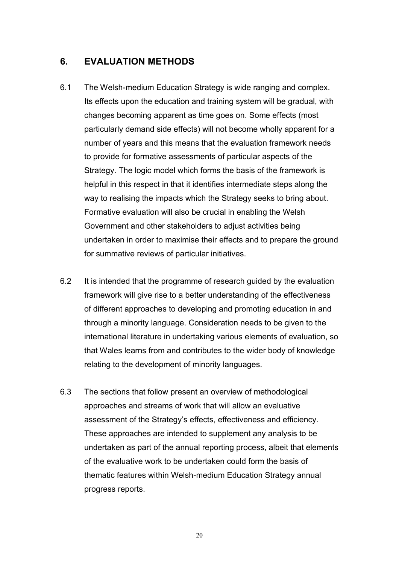### <span id="page-20-0"></span>**6. EVALUATION METHODS**

- 6.1 The Welsh-medium Education Strategy is wide ranging and complex. Its effects upon the education and training system will be gradual, with changes becoming apparent as time goes on. Some effects (most particularly demand side effects) will not become wholly apparent for a number of years and this means that the evaluation framework needs to provide for formative assessments of particular aspects of the Strategy. The logic model which forms the basis of the framework is helpful in this respect in that it identifies intermediate steps along the way to realising the impacts which the Strategy seeks to bring about. Formative evaluation will also be crucial in enabling the Welsh Government and other stakeholders to adjust activities being undertaken in order to maximise their effects and to prepare the ground for summative reviews of particular initiatives.
- 6.2 It is intended that the programme of research guided by the evaluation framework will give rise to a better understanding of the effectiveness of different approaches to developing and promoting education in and through a minority language. Consideration needs to be given to the international literature in undertaking various elements of evaluation, so that Wales learns from and contributes to the wider body of knowledge relating to the development of minority languages.
- 6.3 The sections that follow present an overview of methodological approaches and streams of work that will allow an evaluative assessment of the Strategy's effects, effectiveness and efficiency. These approaches are intended to supplement any analysis to be undertaken as part of the annual reporting process, albeit that elements of the evaluative work to be undertaken could form the basis of thematic features within Welsh-medium Education Strategy annual progress reports.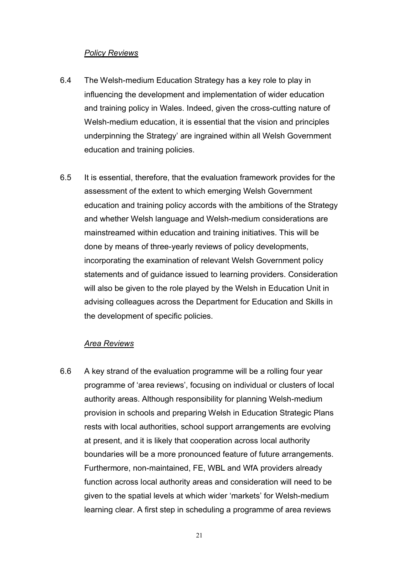#### *Policy Reviews*

- 6.4 The Welsh-medium Education Strategy has a key role to play in influencing the development and implementation of wider education and training policy in Wales. Indeed, given the cross-cutting nature of Welsh-medium education, it is essential that the vision and principles underpinning the Strategy' are ingrained within all Welsh Government education and training policies.
- 6.5 It is essential, therefore, that the evaluation framework provides for the assessment of the extent to which emerging Welsh Government education and training policy accords with the ambitions of the Strategy and whether Welsh language and Welsh-medium considerations are mainstreamed within education and training initiatives. This will be done by means of three-yearly reviews of policy developments, incorporating the examination of relevant Welsh Government policy statements and of guidance issued to learning providers. Consideration will also be given to the role played by the Welsh in Education Unit in advising colleagues across the Department for Education and Skills in the development of specific policies.

#### *Area Reviews*

6.6 A key strand of the evaluation programme will be a rolling four year programme of 'area reviews', focusing on individual or clusters of local authority areas. Although responsibility for planning Welsh-medium provision in schools and preparing Welsh in Education Strategic Plans rests with local authorities, school support arrangements are evolving at present, and it is likely that cooperation across local authority boundaries will be a more pronounced feature of future arrangements. Furthermore, non-maintained, FE, WBL and WfA providers already function across local authority areas and consideration will need to be given to the spatial levels at which wider 'markets' for Welsh-medium learning clear. A first step in scheduling a programme of area reviews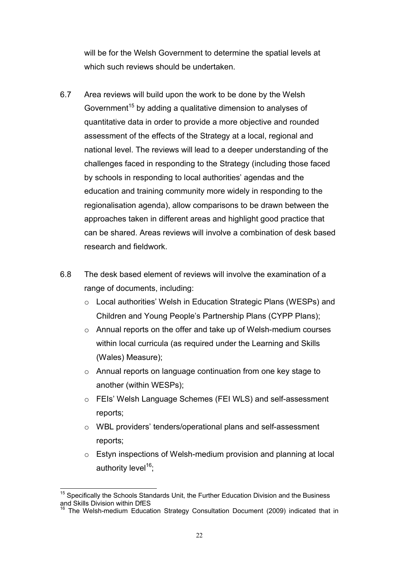will be for the Welsh Government to determine the spatial levels at which such reviews should be undertaken.

- 6.7 Area reviews will build upon the work to be done by the Welsh Government<sup>[15](#page-22-0)</sup> by adding a qualitative dimension to analyses of quantitative data in order to provide a more objective and rounded assessment of the effects of the Strategy at a local, regional and national level. The reviews will lead to a deeper understanding of the challenges faced in responding to the Strategy (including those faced by schools in responding to local authorities' agendas and the education and training community more widely in responding to the regionalisation agenda), allow comparisons to be drawn between the approaches taken in different areas and highlight good practice that can be shared. Areas reviews will involve a combination of desk based research and fieldwork.
- 6.8 The desk based element of reviews will involve the examination of a range of documents, including:
	- o Local authorities' Welsh in Education Strategic Plans (WESPs) and Children and Young People's Partnership Plans (CYPP Plans);
	- o Annual reports on the offer and take up of Welsh-medium courses within local curricula (as required under the Learning and Skills (Wales) Measure);
	- o Annual reports on language continuation from one key stage to another (within WESPs);
	- o FEIs' Welsh Language Schemes (FEI WLS) and self-assessment reports;
	- o WBL providers' tenders/operational plans and self-assessment reports;
	- o Estyn inspections of Welsh-medium provision and planning at local authority level<sup>[16](#page-22-1)</sup>;

 $\overline{a}$ 

<span id="page-22-1"></span><span id="page-22-0"></span> $15$  Specifically the Schools Standards Unit, the Further Education Division and the Business and Skills Division within DfES

<sup>&</sup>lt;sup>1</sup> The Welsh-medium Education Strategy Consultation Document (2009) indicated that in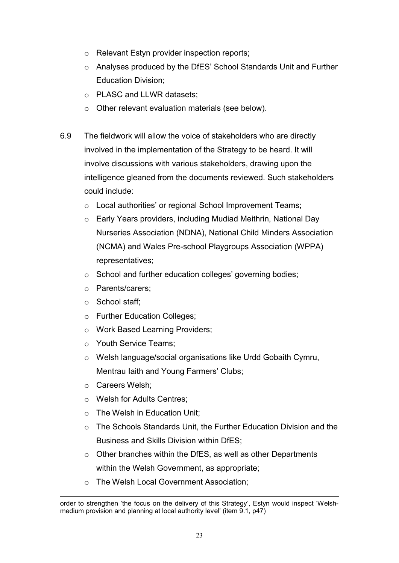- o Relevant Estyn provider inspection reports;
- o Analyses produced by the DfES' School Standards Unit and Further Education Division;
- o PLASC and LLWR datasets;
- o Other relevant evaluation materials (see below).
- 6.9 The fieldwork will allow the voice of stakeholders who are directly involved in the implementation of the Strategy to be heard. It will involve discussions with various stakeholders, drawing upon the intelligence gleaned from the documents reviewed. Such stakeholders could include:
	- o Local authorities' or regional School Improvement Teams;
	- o Early Years providers, including Mudiad Meithrin, National Day Nurseries Association (NDNA), National Child Minders Association (NCMA) and Wales Pre-school Playgroups Association (WPPA) representatives;
	- o School and further education colleges' governing bodies;
	- o Parents/carers;
	- o School staff;
	- o Further Education Colleges;
	- o Work Based Learning Providers;
	- o Youth Service Teams;
	- o Welsh language/social organisations like Urdd Gobaith Cymru, Mentrau Iaith and Young Farmers' Clubs;
	- o Careers Welsh;
	- o Welsh for Adults Centres;
	- o The Welsh in Education Unit;
	- $\circ$  The Schools Standards Unit, the Further Education Division and the Business and Skills Division within DfES;
	- o Other branches within the DfES, as well as other Departments within the Welsh Government, as appropriate;
	- o The Welsh Local Government Association;

 $\overline{\phantom{a}}$ order to strengthen 'the focus on the delivery of this Strategy', Estyn would inspect 'Welshmedium provision and planning at local authority level' (item 9.1, p47)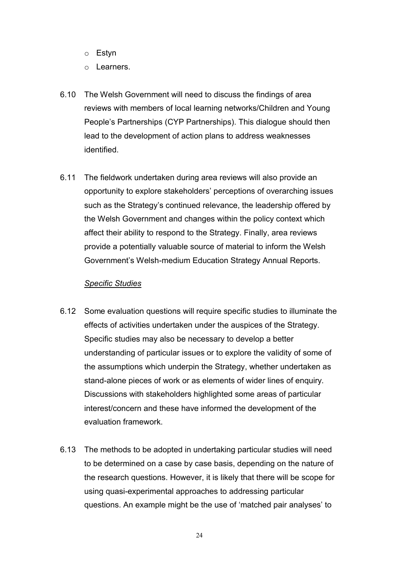- o Estyn
- o Learners.
- 6.10 The Welsh Government will need to discuss the findings of area reviews with members of local learning networks/Children and Young People's Partnerships (CYP Partnerships). This dialogue should then lead to the development of action plans to address weaknesses identified.
- 6.11 The fieldwork undertaken during area reviews will also provide an opportunity to explore stakeholders' perceptions of overarching issues such as the Strategy's continued relevance, the leadership offered by the Welsh Government and changes within the policy context which affect their ability to respond to the Strategy. Finally, area reviews provide a potentially valuable source of material to inform the Welsh Government's Welsh-medium Education Strategy Annual Reports.

#### *Specific Studies*

- 6.12 Some evaluation questions will require specific studies to illuminate the effects of activities undertaken under the auspices of the Strategy. Specific studies may also be necessary to develop a better understanding of particular issues or to explore the validity of some of the assumptions which underpin the Strategy, whether undertaken as stand-alone pieces of work or as elements of wider lines of enquiry. Discussions with stakeholders highlighted some areas of particular interest/concern and these have informed the development of the evaluation framework.
- 6.13 The methods to be adopted in undertaking particular studies will need to be determined on a case by case basis, depending on the nature of the research questions. However, it is likely that there will be scope for using quasi-experimental approaches to addressing particular questions. An example might be the use of 'matched pair analyses' to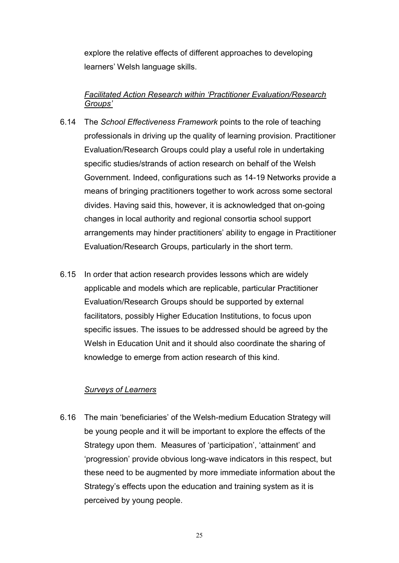explore the relative effects of different approaches to developing learners' Welsh language skills.

#### *Facilitated Action Research within 'Practitioner Evaluation/Research Groups'*

- 6.14 The *School Effectiveness Framework* points to the role of teaching professionals in driving up the quality of learning provision. Practitioner Evaluation/Research Groups could play a useful role in undertaking specific studies/strands of action research on behalf of the Welsh Government. Indeed, configurations such as 14-19 Networks provide a means of bringing practitioners together to work across some sectoral divides. Having said this, however, it is acknowledged that on-going changes in local authority and regional consortia school support arrangements may hinder practitioners' ability to engage in Practitioner Evaluation/Research Groups, particularly in the short term.
- 6.15 In order that action research provides lessons which are widely applicable and models which are replicable, particular Practitioner Evaluation/Research Groups should be supported by external facilitators, possibly Higher Education Institutions, to focus upon specific issues. The issues to be addressed should be agreed by the Welsh in Education Unit and it should also coordinate the sharing of knowledge to emerge from action research of this kind.

#### *Surveys of Learners*

6.16 The main 'beneficiaries' of the Welsh-medium Education Strategy will be young people and it will be important to explore the effects of the Strategy upon them. Measures of 'participation', 'attainment' and 'progression' provide obvious long-wave indicators in this respect, but these need to be augmented by more immediate information about the Strategy's effects upon the education and training system as it is perceived by young people.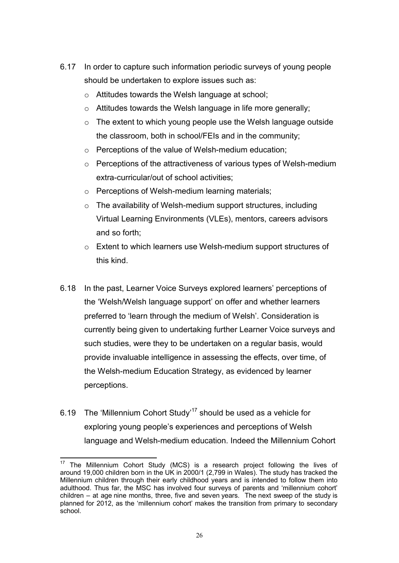- 6.17 In order to capture such information periodic surveys of young people should be undertaken to explore issues such as:
	- o Attitudes towards the Welsh language at school;
	- o Attitudes towards the Welsh language in life more generally;
	- o The extent to which young people use the Welsh language outside the classroom, both in school/FEIs and in the community;
	- o Perceptions of the value of Welsh-medium education;
	- o Perceptions of the attractiveness of various types of Welsh-medium extra-curricular/out of school activities;
	- o Perceptions of Welsh-medium learning materials;
	- o The availability of Welsh-medium support structures, including Virtual Learning Environments (VLEs), mentors, careers advisors and so forth;
	- o Extent to which learners use Welsh-medium support structures of this kind.
- 6.18 In the past, Learner Voice Surveys explored learners' perceptions of the 'Welsh/Welsh language support' on offer and whether learners preferred to 'learn through the medium of Welsh'. Consideration is currently being given to undertaking further Learner Voice surveys and such studies, were they to be undertaken on a regular basis, would provide invaluable intelligence in assessing the effects, over time, of the Welsh-medium Education Strategy, as evidenced by learner perceptions.
- 6.19 The 'Millennium Cohort Study'<sup>[17](#page-26-0)</sup> should be used as a vehicle for exploring young people's experiences and perceptions of Welsh language and Welsh-medium education. Indeed the Millennium Cohort

<span id="page-26-0"></span> $17$ The Millennium Cohort Study (MCS) is a research project following the lives of around 19,000 children born in the UK in 2000/1 (2,799 in Wales). The study has tracked the Millennium children through their early childhood years and is intended to follow them into adulthood. Thus far, the MSC has involved four surveys of parents and 'millennium cohort' children – at age [nine months, three, five and](http://www.cls.ioe.ac.uk/mcs1) [seven](http://www.cls.ioe.ac.uk/mcs4) years. The next sweep [of the study](http://www.cls.ioe.ac.uk/mcs5) is planned for 2012, as the 'millennium cohort' makes the transition from primary to secondary school.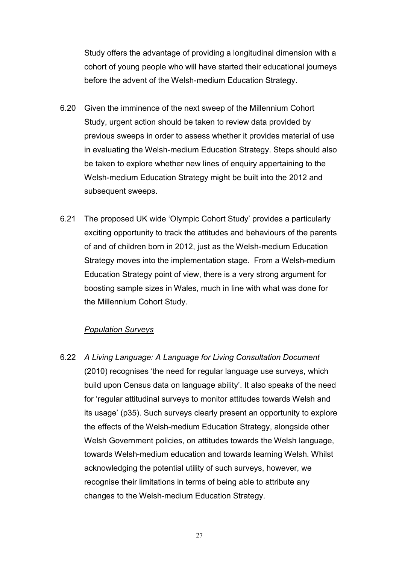Study offers the advantage of providing a longitudinal dimension with a cohort of young people who will have started their educational journeys before the advent of the Welsh-medium Education Strategy.

- 6.20 Given the imminence of the next sweep of the Millennium Cohort Study, urgent action should be taken to review data provided by previous sweeps in order to assess whether it provides material of use in evaluating the Welsh-medium Education Strategy. Steps should also be taken to explore whether new lines of enquiry appertaining to the Welsh-medium Education Strategy might be built into the 2012 and subsequent sweeps.
- 6.21 The proposed UK wide 'Olympic Cohort Study' provides a particularly exciting opportunity to track the attitudes and behaviours of the parents of and of children born in 2012, just as the Welsh-medium Education Strategy moves into the implementation stage. From a Welsh-medium Education Strategy point of view, there is a very strong argument for boosting sample sizes in Wales, much in line with what was done for the Millennium Cohort Study.

#### *Population Surveys*

6.22 *A Living Language: A Language for Living Consultation Document* (2010) recognises 'the need for regular language use surveys, which build upon Census data on language ability'. It also speaks of the need for 'regular attitudinal surveys to monitor attitudes towards Welsh and its usage' (p35). Such surveys clearly present an opportunity to explore the effects of the Welsh-medium Education Strategy, alongside other Welsh Government policies, on attitudes towards the Welsh language, towards Welsh-medium education and towards learning Welsh. Whilst acknowledging the potential utility of such surveys, however, we recognise their limitations in terms of being able to attribute any changes to the Welsh-medium Education Strategy.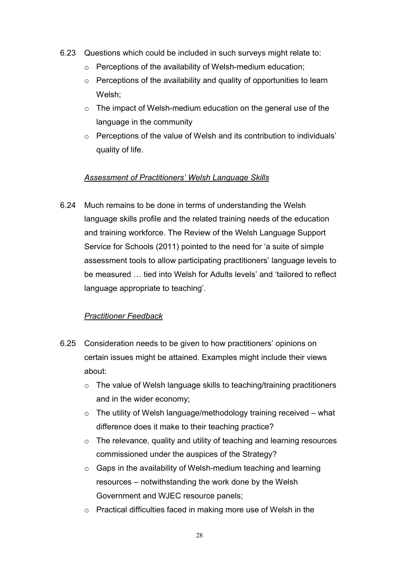- 6.23 Questions which could be included in such surveys might relate to:
	- o Perceptions of the availability of Welsh-medium education;
	- o Perceptions of the availability and quality of opportunities to learn Welsh;
	- o The impact of Welsh-medium education on the general use of the language in the community
	- o Perceptions of the value of Welsh and its contribution to individuals' quality of life.

#### *Assessment of Practitioners' Welsh Language Skills*

6.24 Much remains to be done in terms of understanding the Welsh language skills profile and the related training needs of the education and training workforce. The Review of the Welsh Language Support Service for Schools (2011) pointed to the need for 'a suite of simple assessment tools to allow participating practitioners' language levels to be measured … tied into Welsh for Adults levels' and 'tailored to reflect language appropriate to teaching'.

#### *Practitioner Feedback*

- 6.25 Consideration needs to be given to how practitioners' opinions on certain issues might be attained. Examples might include their views about:
	- o The value of Welsh language skills to teaching/training practitioners and in the wider economy;
	- $\circ$  The utility of Welsh language/methodology training received what difference does it make to their teaching practice?
	- o The relevance, quality and utility of teaching and learning resources commissioned under the auspices of the Strategy?
	- $\circ$  Gaps in the availability of Welsh-medium teaching and learning resources – notwithstanding the work done by the Welsh Government and WJEC resource panels;
	- o Practical difficulties faced in making more use of Welsh in the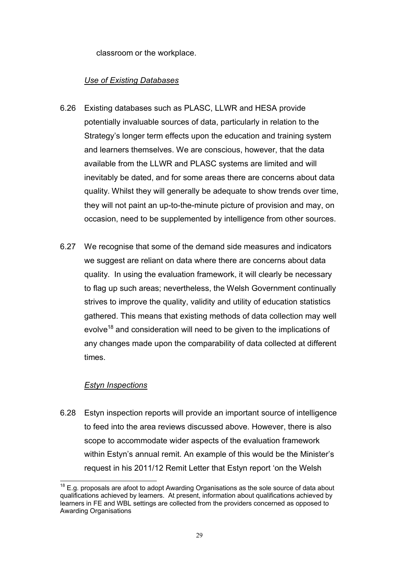classroom or the workplace.

### *Use of Existing Databases*

- 6.26 Existing databases such as PLASC, LLWR and HESA provide potentially invaluable sources of data, particularly in relation to the Strategy's longer term effects upon the education and training system and learners themselves. We are conscious, however, that the data available from the LLWR and PLASC systems are limited and will inevitably be dated, and for some areas there are concerns about data quality. Whilst they will generally be adequate to show trends over time, they will not paint an up-to-the-minute picture of provision and may, on occasion, need to be supplemented by intelligence from other sources.
- 6.27 We recognise that some of the demand side measures and indicators we suggest are reliant on data where there are concerns about data quality. In using the evaluation framework, it will clearly be necessary to flag up such areas; nevertheless, the Welsh Government continually strives to improve the quality, validity and utility of education statistics gathered. This means that existing methods of data collection may well evolve<sup>[18](#page-29-0)</sup> and consideration will need to be given to the implications of any changes made upon the comparability of data collected at different times.

#### *Estyn Inspections*

6.28 Estyn inspection reports will provide an important source of intelligence to feed into the area reviews discussed above. However, there is also scope to accommodate wider aspects of the evaluation framework within Estyn's annual remit. An example of this would be the Minister's request in his 2011/12 Remit Letter that Estyn report 'on the Welsh

<span id="page-29-0"></span> $\overline{a}$  $18$  E.g. proposals are afoot to adopt Awarding Organisations as the sole source of data about qualifications achieved by learners. At present, information about qualifications achieved by learners in FE and WBL settings are collected from the providers concerned as opposed to Awarding Organisations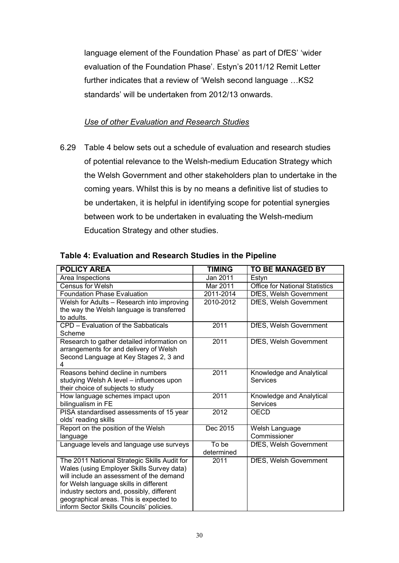language element of the Foundation Phase' as part of DfES' 'wider evaluation of the Foundation Phase'. Estyn's 2011/12 Remit Letter further indicates that a review of 'Welsh second language …KS2 standards' will be undertaken from 2012/13 onwards.

#### *Use of other Evaluation and Research Studies*

6.29 Table 4 below sets out a schedule of evaluation and research studies of potential relevance to the Welsh-medium Education Strategy which the Welsh Government and other stakeholders plan to undertake in the coming years. Whilst this is by no means a definitive list of studies to be undertaken, it is helpful in identifying scope for potential synergies between work to be undertaken in evaluating the Welsh-medium Education Strategy and other studies.

| <b>POLICY AREA</b>                                                                  | <b>TIMING</b> | <b>TO BE MANAGED BY</b>               |
|-------------------------------------------------------------------------------------|---------------|---------------------------------------|
| Area Inspections                                                                    | Jan 2011      | Estyn                                 |
| <b>Census for Welsh</b>                                                             | Mar 2011      | <b>Office for National Statistics</b> |
| <b>Foundation Phase Evaluation</b>                                                  | $2011 - 2014$ | DfES, Welsh Government                |
| Welsh for Adults – Research into improving                                          | 2010-2012     | DfES, Welsh Government                |
| the way the Welsh language is transferred                                           |               |                                       |
| to adults.                                                                          |               |                                       |
| CPD – Evaluation of the Sabbaticals                                                 | 2011          | DfES, Welsh Government                |
| Scheme                                                                              |               |                                       |
| Research to gather detailed information on                                          | 2011          | DfES, Welsh Government                |
| arrangements for and delivery of Welsh                                              |               |                                       |
| Second Language at Key Stages 2, 3 and                                              |               |                                       |
| 4                                                                                   |               |                                       |
| Reasons behind decline in numbers                                                   | 2011          | Knowledge and Analytical              |
| studying Welsh A level – influences upon                                            |               | Services                              |
| their choice of subjects to study                                                   |               |                                       |
| How language schemes impact upon                                                    | 2011          | Knowledge and Analytical              |
| bilingualism in FE                                                                  |               | Services                              |
| PISA standardised assessments of 15 year                                            | 2012          | <b>OECD</b>                           |
| olds' reading skills                                                                |               |                                       |
| Report on the position of the Welsh                                                 | Dec 2015      | Welsh Language                        |
| language                                                                            |               | Commissioner                          |
| Language levels and language use surveys                                            | To be         | DfES, Welsh Government                |
|                                                                                     | determined    |                                       |
| The 2011 National Strategic Skills Audit for                                        | 2011          | DfES, Welsh Government                |
| Wales (using Employer Skills Survey data)                                           |               |                                       |
| will include an assessment of the demand                                            |               |                                       |
| for Welsh language skills in different                                              |               |                                       |
| industry sectors and, possibly, different                                           |               |                                       |
| geographical areas. This is expected to<br>inform Sector Skills Councils' policies. |               |                                       |
|                                                                                     |               |                                       |

#### **Table 4: Evaluation and Research Studies in the Pipeline**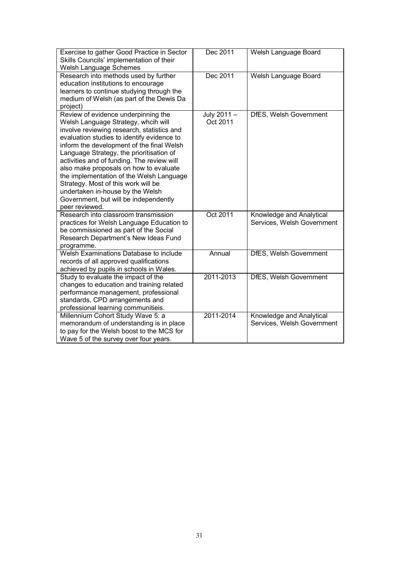| Exercise to gather Good Practice in Sector<br>Skills Councils' implementation of their<br>Welsh Language Schemes                                                                                                                                                                                                                                                                                                                                                                                                                          | Dec 2011                | Welsh Language Board                                   |
|-------------------------------------------------------------------------------------------------------------------------------------------------------------------------------------------------------------------------------------------------------------------------------------------------------------------------------------------------------------------------------------------------------------------------------------------------------------------------------------------------------------------------------------------|-------------------------|--------------------------------------------------------|
| Research into methods used by further<br>education institutions to encourage<br>learners to continue studying through the<br>medium of Welsh (as part of the Dewis Da<br>project)                                                                                                                                                                                                                                                                                                                                                         | Dec 2011                | Welsh Language Board                                   |
| Review of evidence underpinning the<br>Welsh Language Strategy, whcih will<br>involve reviewing research, statistics and<br>evaluation studies to identify evidence to<br>inform the development of the final Welsh<br>Language Strategy, the prioritisation of<br>activities and of funding. The review will<br>also make proposals on how to evaluate<br>the implementation of the Welsh Language<br>Strategy. Most of this work will be<br>undertaken in-house by the Welsh<br>Government, but will be independently<br>peer reviewed. | July 2011 -<br>Oct 2011 | DfES, Welsh Government                                 |
| Research into classroom transmission<br>practices for Welsh Language Education to<br>be commissioned as part of the Social<br>Research Department's New Ideas Fund<br>programme.                                                                                                                                                                                                                                                                                                                                                          | Oct 2011                | Knowledge and Analytical<br>Services, Welsh Government |
| Welsh Examinations Database to include<br>records of all approved qualifications<br>achieved by pupils in schools in Wales.                                                                                                                                                                                                                                                                                                                                                                                                               | Annual                  | DfES, Welsh Government                                 |
| Study to evaluate the impact of the<br>changes to education and training related<br>performance management, professional<br>standards, CPD arrangements and<br>professional learning communitieis.                                                                                                                                                                                                                                                                                                                                        | 2011-2013               | DfES, Welsh Government                                 |
| Millennium Cohort Study Wave 5: a<br>memorandum of understanding is in place<br>to pay for the Welsh boost to the MCS for<br>Wave 5 of the survey over four years.                                                                                                                                                                                                                                                                                                                                                                        | 2011-2014               | Knowledge and Analytical<br>Services, Welsh Government |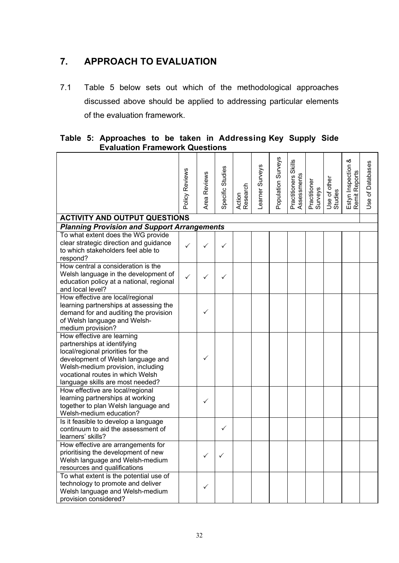### <span id="page-32-0"></span>**7. APPROACH TO EVALUATION**

7.1 Table 5 below sets out which of the methodological approaches discussed above should be applied to addressing particular elements of the evaluation framework.

|  |                                       |  |  | Table 5: Approaches to be taken in Addressing Key Supply Side |  |
|--|---------------------------------------|--|--|---------------------------------------------------------------|--|
|  | <b>Evaluation Framework Questions</b> |  |  |                                                               |  |

|                                                                                                                                                                                                                                                  | Policy Reviews | Reviews<br>Area I | Specific Studies | Action<br>Research | Learner Surveys | Population Surveys | Practitioners Skills<br>Assessments | Practitioner<br>Surveys | Use of other<br>Studies | ళ<br>Estyn Inspection<br>Remit Reports | Use of Databases |
|--------------------------------------------------------------------------------------------------------------------------------------------------------------------------------------------------------------------------------------------------|----------------|-------------------|------------------|--------------------|-----------------|--------------------|-------------------------------------|-------------------------|-------------------------|----------------------------------------|------------------|
| <b>ACTIVITY AND OUTPUT QUESTIONS</b>                                                                                                                                                                                                             |                |                   |                  |                    |                 |                    |                                     |                         |                         |                                        |                  |
| <b>Planning Provision and Support Arrangements</b>                                                                                                                                                                                               |                |                   |                  |                    |                 |                    |                                     |                         |                         |                                        |                  |
| To what extent does the WG provide<br>clear strategic direction and guidance<br>to which stakeholders feel able to<br>respond?                                                                                                                   | ✓              |                   | ✓                |                    |                 |                    |                                     |                         |                         |                                        |                  |
| How central a consideration is the<br>Welsh language in the development of<br>education policy at a national, regional<br>and local level?                                                                                                       | $\checkmark$   |                   | ✓                |                    |                 |                    |                                     |                         |                         |                                        |                  |
| How effective are local/regional<br>learning partnerships at assessing the<br>demand for and auditing the provision<br>of Welsh language and Welsh-<br>medium provision?                                                                         |                | $\checkmark$      |                  |                    |                 |                    |                                     |                         |                         |                                        |                  |
| How effective are learning<br>partnerships at identifying<br>local/regional priorities for the<br>development of Welsh language and<br>Welsh-medium provision, including<br>vocational routes in which Welsh<br>language skills are most needed? |                |                   |                  |                    |                 |                    |                                     |                         |                         |                                        |                  |
| How effective are local/regional<br>learning partnerships at working<br>together to plan Welsh language and<br>Welsh-medium education?                                                                                                           |                | $\checkmark$      |                  |                    |                 |                    |                                     |                         |                         |                                        |                  |
| Is it feasible to develop a language<br>continuum to aid the assessment of<br>learners' skills?                                                                                                                                                  |                |                   | ✓                |                    |                 |                    |                                     |                         |                         |                                        |                  |
| How effective are arrangements for<br>prioritising the development of new<br>Welsh language and Welsh-medium<br>resources and qualifications                                                                                                     |                | ✓                 | ✓                |                    |                 |                    |                                     |                         |                         |                                        |                  |
| To what extent is the potential use of<br>technology to promote and deliver<br>Welsh language and Welsh-medium<br>provision considered?                                                                                                          |                | ✓                 |                  |                    |                 |                    |                                     |                         |                         |                                        |                  |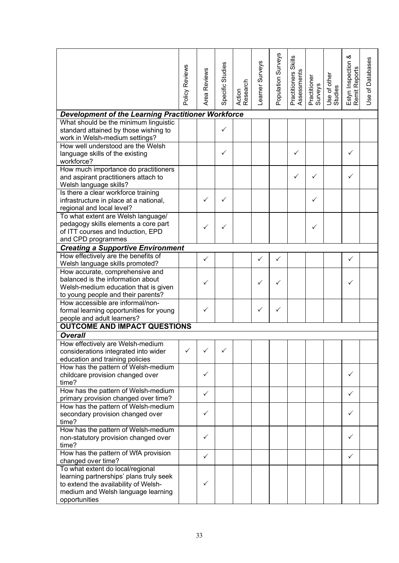|                                                                                 | Policy Reviews |              | Specific Studies |                    | Learner Surveys | Population Surveys | <b>Skills</b>                |                         |                         | Estyn Inspection &<br>Remit Reports | Use of Databases |
|---------------------------------------------------------------------------------|----------------|--------------|------------------|--------------------|-----------------|--------------------|------------------------------|-------------------------|-------------------------|-------------------------------------|------------------|
|                                                                                 |                | Area Reviews |                  | Action<br>Research |                 |                    | Assessments<br>Practitioners | Practitioner<br>Surveys | Use of other<br>Studies |                                     |                  |
| Development of the Learning Practitioner Workforce                              |                |              |                  |                    |                 |                    |                              |                         |                         |                                     |                  |
| What should be the minimum linguistic                                           |                |              |                  |                    |                 |                    |                              |                         |                         |                                     |                  |
| standard attained by those wishing to<br>work in Welsh-medium settings?         |                |              | $\checkmark$     |                    |                 |                    |                              |                         |                         |                                     |                  |
| How well understood are the Welsh                                               |                |              | $\checkmark$     |                    |                 |                    | ✓                            |                         |                         | ✓                                   |                  |
| language skills of the existing<br>workforce?                                   |                |              |                  |                    |                 |                    |                              |                         |                         |                                     |                  |
| How much importance do practitioners                                            |                |              |                  |                    |                 |                    |                              |                         |                         |                                     |                  |
| and aspirant practitioners attach to<br>Welsh language skills?                  |                |              |                  |                    |                 |                    | ✓                            | ✓                       |                         | ✓                                   |                  |
| Is there a clear workforce training                                             |                |              |                  |                    |                 |                    |                              |                         |                         |                                     |                  |
| infrastructure in place at a national,                                          |                | ✓            | ✓                |                    |                 |                    |                              | ✓                       |                         |                                     |                  |
| regional and local level?<br>To what extent are Welsh language/                 |                |              |                  |                    |                 |                    |                              |                         |                         |                                     |                  |
| pedagogy skills elements a core part                                            |                |              |                  |                    |                 |                    |                              |                         |                         |                                     |                  |
| of ITT courses and Induction, EPD                                               |                | ✓            | $\checkmark$     |                    |                 |                    |                              | $\checkmark$            |                         |                                     |                  |
| and CPD programmes                                                              |                |              |                  |                    |                 |                    |                              |                         |                         |                                     |                  |
| <b>Creating a Supportive Environment</b>                                        |                |              |                  |                    |                 |                    |                              |                         |                         |                                     |                  |
| How effectively are the benefits of                                             |                | ✓            |                  |                    | ✓               | ✓                  |                              |                         |                         | ✓                                   |                  |
| Welsh language skills promoted?<br>How accurate, comprehensive and              |                |              |                  |                    |                 |                    |                              |                         |                         |                                     |                  |
| balanced is the information about                                               |                |              |                  |                    |                 |                    |                              |                         |                         |                                     |                  |
| Welsh-medium education that is given                                            |                | ✓            |                  |                    | ✓               | ✓                  |                              |                         |                         | ✓                                   |                  |
| to young people and their parents?                                              |                |              |                  |                    |                 |                    |                              |                         |                         |                                     |                  |
| How accessible are informal/non-                                                |                |              |                  |                    |                 |                    |                              |                         |                         |                                     |                  |
| formal learning opportunities for young                                         |                | $\checkmark$ |                  |                    | ✓               | ✓                  |                              |                         |                         |                                     |                  |
| people and adult learners?<br><b>OUTCOME AND IMPACT QUESTIONS</b>               |                |              |                  |                    |                 |                    |                              |                         |                         |                                     |                  |
| <b>Overall</b>                                                                  |                |              |                  |                    |                 |                    |                              |                         |                         |                                     |                  |
| How effectively are Welsh-medium                                                |                |              |                  |                    |                 |                    |                              |                         |                         |                                     |                  |
| considerations integrated into wider                                            | $\checkmark$   |              |                  |                    |                 |                    |                              |                         |                         |                                     |                  |
| education and training policies                                                 |                |              |                  |                    |                 |                    |                              |                         |                         |                                     |                  |
| How has the pattern of Welsh-medium                                             |                |              |                  |                    |                 |                    |                              |                         |                         |                                     |                  |
| childcare provision changed over                                                |                | ✓            |                  |                    |                 |                    |                              |                         |                         | ✓                                   |                  |
| time?<br>How has the pattern of Welsh-medium                                    |                |              |                  |                    |                 |                    |                              |                         |                         |                                     |                  |
| primary provision changed over time?                                            |                | $\checkmark$ |                  |                    |                 |                    |                              |                         |                         | ✓                                   |                  |
| How has the pattern of Welsh-medium                                             |                |              |                  |                    |                 |                    |                              |                         |                         |                                     |                  |
| secondary provision changed over                                                |                | $\checkmark$ |                  |                    |                 |                    |                              |                         |                         | $\checkmark$                        |                  |
| time?                                                                           |                |              |                  |                    |                 |                    |                              |                         |                         |                                     |                  |
| How has the pattern of Welsh-medium                                             |                | $\checkmark$ |                  |                    |                 |                    |                              |                         |                         |                                     |                  |
| non-statutory provision changed over<br>time?                                   |                |              |                  |                    |                 |                    |                              |                         |                         | ✓                                   |                  |
| How has the pattern of WfA provision<br>changed over time?                      |                | ✓            |                  |                    |                 |                    |                              |                         |                         | ✓                                   |                  |
| To what extent do local/regional                                                |                |              |                  |                    |                 |                    |                              |                         |                         |                                     |                  |
| learning partnerships' plans truly seek<br>to extend the availability of Welsh- |                | $\checkmark$ |                  |                    |                 |                    |                              |                         |                         |                                     |                  |
| medium and Welsh language learning                                              |                |              |                  |                    |                 |                    |                              |                         |                         |                                     |                  |
| opportunities                                                                   |                |              |                  |                    |                 |                    |                              |                         |                         |                                     |                  |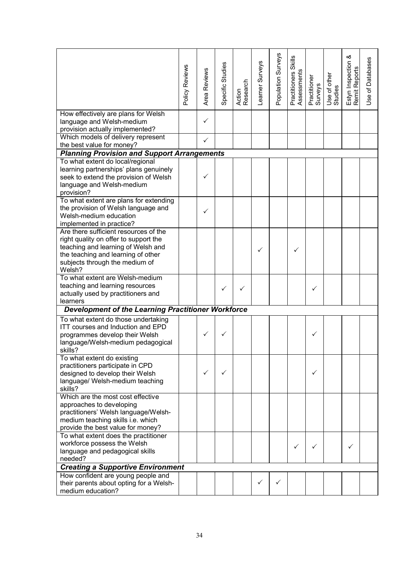|                                                                                                                                                                                                        | Policy Reviews | Reviews<br>Area | Specific Studies | Action<br>Research | Learner Surveys | Population Surveys | Skills<br>Practitioners S<br>Assessments | Practitioner<br>Surveys | Use of other<br>Studies | య<br>Estyn Inspection<br>Remit Reports | Use of Databases |
|--------------------------------------------------------------------------------------------------------------------------------------------------------------------------------------------------------|----------------|-----------------|------------------|--------------------|-----------------|--------------------|------------------------------------------|-------------------------|-------------------------|----------------------------------------|------------------|
| How effectively are plans for Welsh<br>language and Welsh-medium<br>provision actually implemented?                                                                                                    |                | ✓               |                  |                    |                 |                    |                                          |                         |                         |                                        |                  |
| Which models of delivery represent                                                                                                                                                                     |                | ✓               |                  |                    |                 |                    |                                          |                         |                         |                                        |                  |
| the best value for money?                                                                                                                                                                              |                |                 |                  |                    |                 |                    |                                          |                         |                         |                                        |                  |
| <b>Planning Provision and Support Arrangements</b>                                                                                                                                                     |                |                 |                  |                    |                 |                    |                                          |                         |                         |                                        |                  |
| To what extent do local/regional<br>learning partnerships' plans genuinely<br>seek to extend the provision of Welsh<br>language and Welsh-medium<br>provision?                                         |                | ✓               |                  |                    |                 |                    |                                          |                         |                         |                                        |                  |
| To what extent are plans for extending<br>the provision of Welsh language and<br>Welsh-medium education<br>implemented in practice?                                                                    |                | ✓               |                  |                    |                 |                    |                                          |                         |                         |                                        |                  |
| Are there sufficient resources of the<br>right quality on offer to support the<br>teaching and learning of Welsh and<br>the teaching and learning of other<br>subjects through the medium of<br>Welsh? |                |                 |                  |                    | ✓               |                    | ✓                                        |                         |                         |                                        |                  |
| To what extent are Welsh-medium<br>teaching and learning resources<br>actually used by practitioners and<br>learners                                                                                   |                |                 | $\checkmark$     | ✓                  |                 |                    |                                          | ✓                       |                         |                                        |                  |
| Development of the Learning Practitioner Workforce                                                                                                                                                     |                |                 |                  |                    |                 |                    |                                          |                         |                         |                                        |                  |
| To what extent do those undertaking<br>ITT courses and Induction and EPD<br>programmes develop their Welsh<br>language/Welsh-medium pedagogical<br>skills?                                             |                | ✓               |                  |                    |                 |                    |                                          | ✓                       |                         |                                        |                  |
| To what extent do existing<br>practitioners participate in CPD<br>designed to develop their Welsh<br>language/ Welsh-medium teaching<br>skills?                                                        |                | ✓               | ✓                |                    |                 |                    |                                          | ✓                       |                         |                                        |                  |
| Which are the most cost effective<br>approaches to developing<br>practitioners' Welsh language/Welsh-<br>medium teaching skills i.e. which<br>provide the best value for money?                        |                |                 |                  |                    |                 |                    |                                          |                         |                         |                                        |                  |
| To what extent does the practitioner<br>workforce possess the Welsh<br>language and pedagogical skills<br>needed?                                                                                      |                |                 |                  |                    |                 |                    | ✓                                        | ✓                       |                         | ✓                                      |                  |
| <b>Creating a Supportive Environment</b>                                                                                                                                                               |                |                 |                  |                    |                 |                    |                                          |                         |                         |                                        |                  |
| How confident are young people and<br>their parents about opting for a Welsh-<br>medium education?                                                                                                     |                |                 |                  |                    | $\checkmark$    | ✓                  |                                          |                         |                         |                                        |                  |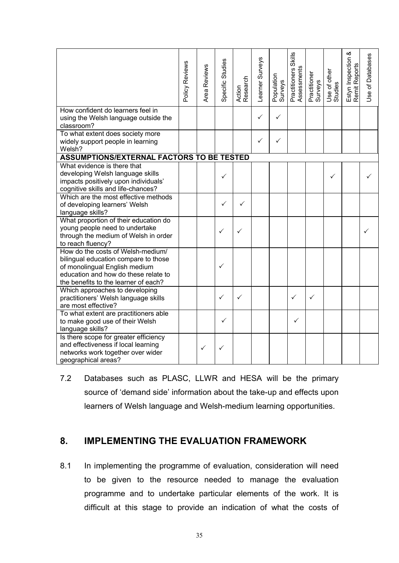|                                                                                                                                                                                            | Policy Reviews | Area Reviews | Specific Studies | Action<br>Research | Learner Surveys | Population<br>Surveys | <b>Skills</b><br>Practitioners S<br>Assessments | Practitioner<br>Surveys | Use of other<br>Studies | Estyn Inspection &<br>Remit Reports | Use of Databases |
|--------------------------------------------------------------------------------------------------------------------------------------------------------------------------------------------|----------------|--------------|------------------|--------------------|-----------------|-----------------------|-------------------------------------------------|-------------------------|-------------------------|-------------------------------------|------------------|
| How confident do learners feel in<br>using the Welsh language outside the<br>classroom?                                                                                                    |                |              |                  |                    | ✓               | ✓                     |                                                 |                         |                         |                                     |                  |
| To what extent does society more<br>widely support people in learning<br>Welsh?                                                                                                            |                |              |                  |                    | ✓               | ✓                     |                                                 |                         |                         |                                     |                  |
| <b>ASSUMPTIONS/EXTERNAL FACTORS TO BE TESTED</b>                                                                                                                                           |                |              |                  |                    |                 |                       |                                                 |                         |                         |                                     |                  |
| What evidence is there that<br>developing Welsh language skills<br>impacts positively upon individuals'<br>cognitive skills and life-chances?                                              |                |              | ✓                |                    |                 |                       |                                                 |                         |                         |                                     |                  |
| Which are the most effective methods<br>of developing learners' Welsh<br>language skills?                                                                                                  |                |              | ✓                | $\checkmark$       |                 |                       |                                                 |                         |                         |                                     |                  |
| What proportion of their education do<br>young people need to undertake<br>through the medium of Welsh in order<br>to reach fluency?                                                       |                |              | $\checkmark$     | ✓                  |                 |                       |                                                 |                         |                         |                                     | ✓                |
| How do the costs of Welsh-medium/<br>bilingual education compare to those<br>of monolingual English medium<br>education and how do these relate to<br>the benefits to the learner of each? |                |              | $\checkmark$     |                    |                 |                       |                                                 |                         |                         |                                     |                  |
| Which approaches to developing<br>practitioners' Welsh language skills<br>are most effective?                                                                                              |                |              | $\checkmark$     | ✓                  |                 |                       | ✓                                               | ✓                       |                         |                                     |                  |
| To what extent are practitioners able<br>to make good use of their Welsh<br>language skills?                                                                                               |                |              | $\checkmark$     |                    |                 |                       | ✓                                               |                         |                         |                                     |                  |
| Is there scope for greater efficiency<br>and effectiveness if local learning<br>networks work together over wider<br>geographical areas?                                                   |                | ✓            | ✓                |                    |                 |                       |                                                 |                         |                         |                                     |                  |

7.2 Databases such as PLASC, LLWR and HESA will be the primary source of 'demand side' information about the take-up and effects upon learners of Welsh language and Welsh-medium learning opportunities.

### <span id="page-35-0"></span>**8. IMPLEMENTING THE EVALUATION FRAMEWORK**

8.1 In implementing the programme of evaluation, consideration will need to be given to the resource needed to manage the evaluation programme and to undertake particular elements of the work. It is difficult at this stage to provide an indication of what the costs of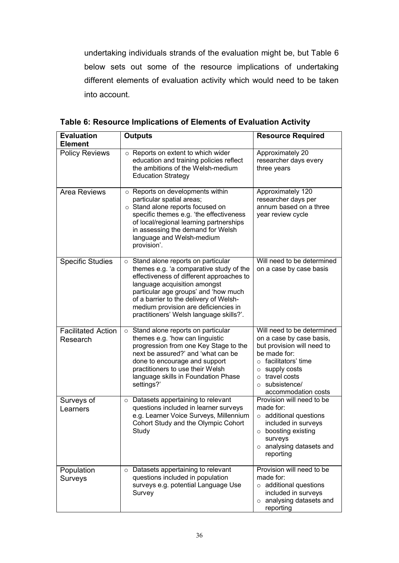undertaking individuals strands of the evaluation might be, but Table 6 below sets out some of the resource implications of undertaking different elements of evaluation activity which would need to be taken into account.

| <b>Evaluation</b><br><b>Element</b>   | <b>Outputs</b>                                                                                                                                                                                                                                                                                                                        | <b>Resource Required</b>                                                                                                                                                                                                 |
|---------------------------------------|---------------------------------------------------------------------------------------------------------------------------------------------------------------------------------------------------------------------------------------------------------------------------------------------------------------------------------------|--------------------------------------------------------------------------------------------------------------------------------------------------------------------------------------------------------------------------|
| <b>Policy Reviews</b>                 | $\circ$ Reports on extent to which wider<br>education and training policies reflect<br>the ambitions of the Welsh-medium<br><b>Education Strategy</b>                                                                                                                                                                                 | Approximately 20<br>researcher days every<br>three years                                                                                                                                                                 |
| Area Reviews                          | o Reports on developments within<br>particular spatial areas;<br>○ Stand alone reports focused on<br>specific themes e.g. 'the effectiveness<br>of local/regional learning partnerships<br>in assessing the demand for Welsh<br>language and Welsh-medium<br>provision'.                                                              | Approximately 120<br>researcher days per<br>annum based on a three<br>year review cycle                                                                                                                                  |
| <b>Specific Studies</b>               | $\circ$ Stand alone reports on particular<br>themes e.g. 'a comparative study of the<br>effectiveness of different approaches to<br>language acquisition amongst<br>particular age groups' and 'how much<br>of a barrier to the delivery of Welsh-<br>medium provision are deficiencies in<br>practitioners' Welsh language skills?'. | Will need to be determined<br>on a case by case basis                                                                                                                                                                    |
| <b>Facilitated Action</b><br>Research | $\circ$ Stand alone reports on particular<br>themes e.g. 'how can linguistic<br>progression from one Key Stage to the<br>next be assured?' and 'what can be<br>done to encourage and support<br>practitioners to use their Welsh<br>language skills in Foundation Phase<br>settings?'                                                 | Will need to be determined<br>on a case by case basis,<br>but provision will need to<br>be made for:<br>$\circ$ facilitators' time<br>supply costs<br>$\circ$<br>o travel costs<br>o subsistence/<br>accommodation costs |
| Surveys of<br>Learners                | $\circ$ Datasets appertaining to relevant<br>questions included in learner surveys<br>e.g. Learner Voice Surveys, Millennium<br>Cohort Study and the Olympic Cohort<br>Study                                                                                                                                                          | Provision will need to be<br>made for:<br>$\circ$ additional questions<br>included in surveys<br>$\circ$ boosting existing<br>surveys<br>$\circ$ analysing datasets and<br>reporting                                     |
| Population<br>Surveys                 | $\circ$ Datasets appertaining to relevant<br>questions included in population<br>surveys e.g. potential Language Use<br>Survey                                                                                                                                                                                                        | Provision will need to be<br>made for:<br>$\circ$ additional questions<br>included in surveys<br>$\circ$ analysing datasets and<br>reporting                                                                             |

**Table 6: Resource Implications of Elements of Evaluation Activity**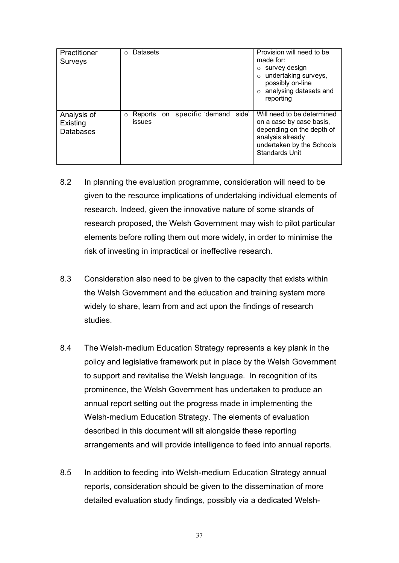| Practitioner<br><b>Surveys</b>              | Datasets<br>$\Omega$                                     | Provision will need to be<br>made for:<br>survey design<br>undertaking surveys,<br>possibly on-line<br>analysing datasets and<br>reporting                    |
|---------------------------------------------|----------------------------------------------------------|---------------------------------------------------------------------------------------------------------------------------------------------------------------|
| Analysis of<br>Existing<br><b>Databases</b> | Reports on specific demand<br>side'<br>$\circ$<br>issues | Will need to be determined<br>on a case by case basis,<br>depending on the depth of<br>analysis already<br>undertaken by the Schools<br><b>Standards Unit</b> |

- 8.2 In planning the evaluation programme, consideration will need to be given to the resource implications of undertaking individual elements of research. Indeed, given the innovative nature of some strands of research proposed, the Welsh Government may wish to pilot particular elements before rolling them out more widely, in order to minimise the risk of investing in impractical or ineffective research.
- 8.3 Consideration also need to be given to the capacity that exists within the Welsh Government and the education and training system more widely to share, learn from and act upon the findings of research studies.
- 8.4 The Welsh-medium Education Strategy represents a key plank in the policy and legislative framework put in place by the Welsh Government to support and revitalise the Welsh language. In recognition of its prominence, the Welsh Government has undertaken to produce an annual report setting out the progress made in implementing the Welsh-medium Education Strategy. The elements of evaluation described in this document will sit alongside these reporting arrangements and will provide intelligence to feed into annual reports.
- 8.5 In addition to feeding into Welsh-medium Education Strategy annual reports, consideration should be given to the dissemination of more detailed evaluation study findings, possibly via a dedicated Welsh-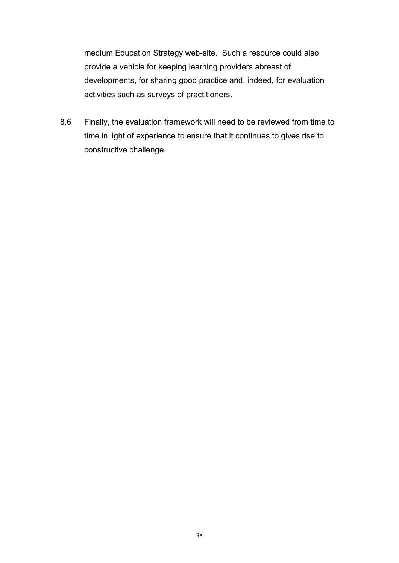medium Education Strategy web-site. Such a resource could also provide a vehicle for keeping learning providers abreast of developments, for sharing good practice and, indeed, for evaluation activities such as surveys of practitioners.

8.6 Finally, the evaluation framework will need to be reviewed from time to time in light of experience to ensure that it continues to gives rise to constructive challenge.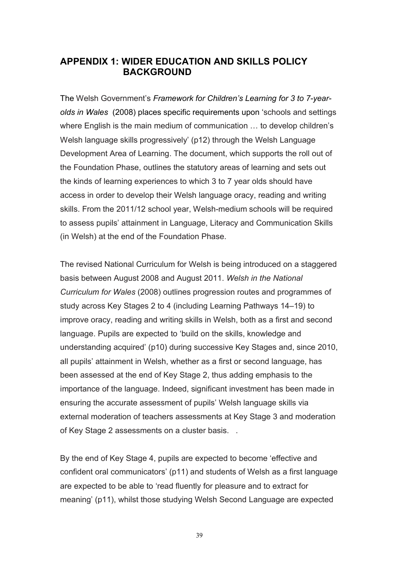### <span id="page-39-0"></span>**APPENDIX 1: WIDER EDUCATION AND SKILLS POLICY BACKGROUND**

The Welsh Government's *Framework for Children's Learning for 3 to 7-yearolds in Wales* (2008) places specific requirements upon 'schools and settings where English is the main medium of communication … to develop children's Welsh language skills progressively' (p12) through the Welsh Language Development Area of Learning. The document, which supports the roll out of the Foundation Phase, outlines the statutory areas of learning and sets out the kinds of learning experiences to which 3 to 7 year olds should have access in order to develop their Welsh language oracy, reading and writing skills. From the 2011/12 school year, Welsh-medium schools will be required to assess pupils' attainment in Language, Literacy and Communication Skills (in Welsh) at the end of the Foundation Phase.

The revised National Curriculum for Welsh is being introduced on a staggered basis between August 2008 and August 2011. *Welsh in the National Curriculum for Wales* (2008) outlines progression routes and programmes of study across Key Stages 2 to 4 (including Learning Pathways 14–19) to improve oracy, reading and writing skills in Welsh, both as a first and second language. Pupils are expected to 'build on the skills, knowledge and understanding acquired' (p10) during successive Key Stages and, since 2010, all pupils' attainment in Welsh, whether as a first or second language, has been assessed at the end of Key Stage 2, thus adding emphasis to the importance of the language. Indeed, significant investment has been made in ensuring the accurate assessment of pupils' Welsh language skills via external moderation of teachers assessments at Key Stage 3 and moderation of Key Stage 2 assessments on a cluster basis. .

By the end of Key Stage 4, pupils are expected to become 'effective and confident oral communicators' (p11) and students of Welsh as a first language are expected to be able to 'read fluently for pleasure and to extract for meaning' (p11), whilst those studying Welsh Second Language are expected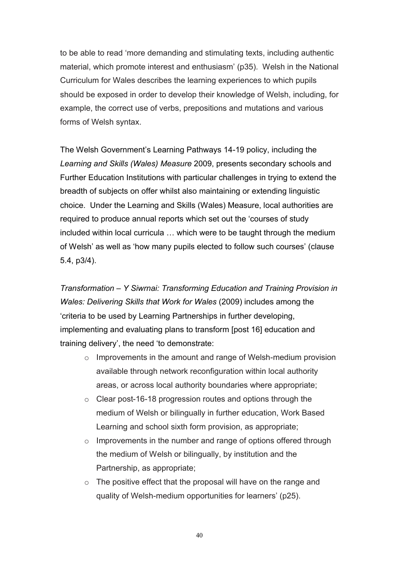to be able to read 'more demanding and stimulating texts, including authentic material, which promote interest and enthusiasm' (p35)*.* Welsh in the National Curriculum for Wales describes the learning experiences to which pupils should be exposed in order to develop their knowledge of Welsh, including, for example, the correct use of verbs, prepositions and mutations and various forms of Welsh syntax.

The Welsh Government's Learning Pathways 14-19 policy, including the *Learning and Skills (Wales) Measure* 2009, presents secondary schools and Further Education Institutions with particular challenges in trying to extend the breadth of subjects on offer whilst also maintaining or extending linguistic choice. Under the Learning and Skills (Wales) Measure, local authorities are required to produce annual reports which set out the 'courses of study included within local curricula … which were to be taught through the medium of Welsh' as well as 'how many pupils elected to follow such courses' (clause 5.4, p3/4).

*Transformation – Y Siwrnai: Transforming Education and Training Provision in Wales: Delivering Skills that Work for Wales* (2009) includes among the 'criteria to be used by Learning Partnerships in further developing, implementing and evaluating plans to transform [post 16] education and training delivery', the need 'to demonstrate:

- o Improvements in the amount and range of Welsh-medium provision available through network reconfiguration within local authority areas, or across local authority boundaries where appropriate;
- o Clear post-16-18 progression routes and options through the medium of Welsh or bilingually in further education, Work Based Learning and school sixth form provision, as appropriate;
- o Improvements in the number and range of options offered through the medium of Welsh or bilingually, by institution and the Partnership, as appropriate;
- o The positive effect that the proposal will have on the range and quality of Welsh-medium opportunities for learners' (p25).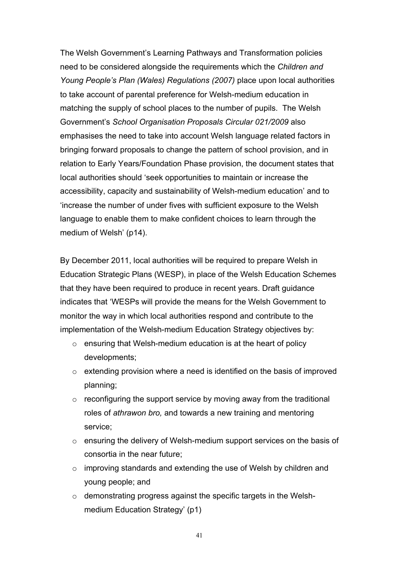The Welsh Government's Learning Pathways and Transformation policies need to be considered alongside the requirements which the *Children and Young People's Plan (Wales) Regulations (2007)* place upon local authorities to take account of parental preference for Welsh-medium education in matching the supply of school places to the number of pupils. The Welsh Government's *School Organisation Proposals Circular 021/2009* also emphasises the need to take into account Welsh language related factors in bringing forward proposals to change the pattern of school provision, and in relation to Early Years/Foundation Phase provision, the document states that local authorities should 'seek opportunities to maintain or increase the accessibility, capacity and sustainability of Welsh-medium education' and to 'increase the number of under fives with sufficient exposure to the Welsh language to enable them to make confident choices to learn through the medium of Welsh' (p14).

By December 2011, local authorities will be required to prepare Welsh in Education Strategic Plans (WESP), in place of the Welsh Education Schemes that they have been required to produce in recent years. Draft guidance indicates that 'WESPs will provide the means for the Welsh Government to monitor the way in which local authorities respond and contribute to the implementation of the Welsh-medium Education Strategy objectives by:

- o ensuring that Welsh-medium education is at the heart of policy developments;
- $\circ$  extending provision where a need is identified on the basis of improved planning;
- $\circ$  reconfiguring the support service by moving away from the traditional roles of *athrawon bro,* and towards a new training and mentoring service;
- o ensuring the delivery of Welsh-medium support services on the basis of consortia in the near future;
- o improving standards and extending the use of Welsh by children and young people; and
- o demonstrating progress against the specific targets in the Welshmedium Education Strategy' (p1)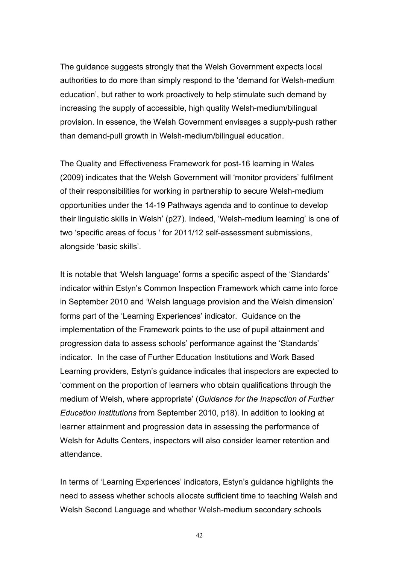The guidance suggests strongly that the Welsh Government expects local authorities to do more than simply respond to the 'demand for Welsh-medium education', but rather to work proactively to help stimulate such demand by increasing the supply of accessible, high quality Welsh-medium/bilingual provision. In essence, the Welsh Government envisages a supply-push rather than demand-pull growth in Welsh-medium/bilingual education.

The Quality and Effectiveness Framework for post-16 learning in Wales (2009) indicates that the Welsh Government will 'monitor providers' fulfilment of their responsibilities for working in partnership to secure Welsh-medium opportunities under the 14-19 Pathways agenda and to continue to develop their linguistic skills in Welsh' (p27). Indeed, 'Welsh-medium learning' is one of two 'specific areas of focus ' for 2011/12 self-assessment submissions, alongside 'basic skills'.

It is notable that 'Welsh language' forms a specific aspect of the 'Standards' indicator within Estyn's Common Inspection Framework which came into force in September 2010 and 'Welsh language provision and the Welsh dimension' forms part of the 'Learning Experiences' indicator. Guidance on the implementation of the Framework points to the use of pupil attainment and progression data to assess schools' performance against the 'Standards' indicator. In the case of Further Education Institutions and Work Based Learning providers, Estyn's guidance indicates that inspectors are expected to 'comment on the proportion of learners who obtain qualifications through the medium of Welsh, where appropriate' (*Guidance for the Inspection of Further Education Institutions* from September 2010, p18). In addition to looking at learner attainment and progression data in assessing the performance of Welsh for Adults Centers, inspectors will also consider learner retention and attendance.

In terms of 'Learning Experiences' indicators, Estyn's guidance highlights the need to assess whether schools allocate sufficient time to teaching Welsh and Welsh Second Language and whether Welsh-medium secondary schools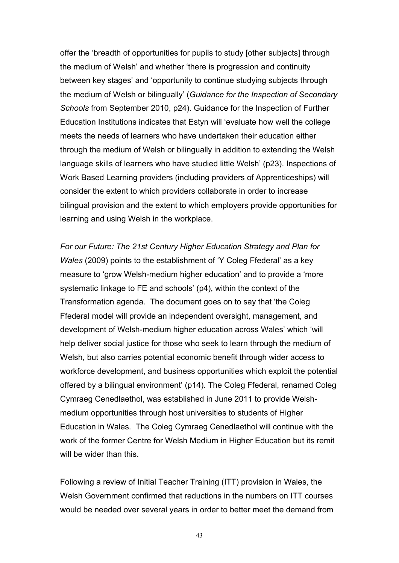offer the 'breadth of opportunities for pupils to study [other subjects] through the medium of Welsh' and whether 'there is progression and continuity between key stages' and 'opportunity to continue studying subjects through the medium of Welsh or bilingually' (*Guidance for the Inspection of Secondary Schools* from September 2010, p24). Guidance for the Inspection of Further Education Institutions indicates that Estyn will 'evaluate how well the college meets the needs of learners who have undertaken their education either through the medium of Welsh or bilingually in addition to extending the Welsh language skills of learners who have studied little Welsh' (p23). Inspections of Work Based Learning providers (including providers of Apprenticeships) will consider the extent to which providers collaborate in order to increase bilingual provision and the extent to which employers provide opportunities for learning and using Welsh in the workplace.

*For our Future: The 21st Century Higher Education Strategy and Plan for Wales* (2009) points to the establishment of 'Y Coleg Ffederal' as a key measure to 'grow Welsh-medium higher education' and to provide a 'more systematic linkage to FE and schools' (p4), within the context of the Transformation agenda. The document goes on to say that 'the Coleg Ffederal model will provide an independent oversight, management, and development of Welsh-medium higher education across Wales' which 'will help deliver social justice for those who seek to learn through the medium of Welsh, but also carries potential economic benefit through wider access to workforce development, and business opportunities which exploit the potential offered by a bilingual environment' (p14). The Coleg Ffederal, renamed Coleg Cymraeg Cenedlaethol, was established in June 2011 to provide Welshmedium opportunities through host universities to students of Higher Education in Wales. The Coleg Cymraeg Cenedlaethol will continue with the work of the former Centre for Welsh Medium in Higher Education but its remit will be wider than this.

Following a review of Initial Teacher Training (ITT) provision in Wales, the Welsh Government confirmed that reductions in the numbers on ITT courses would be needed over several years in order to better meet the demand from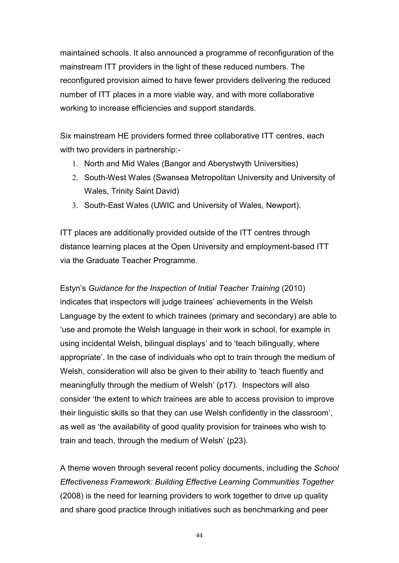maintained schools. It also announced a programme of reconfiguration of the mainstream ITT providers in the light of these reduced numbers. The reconfigured provision aimed to have fewer providers delivering the reduced number of ITT places in a more viable way, and with more collaborative working to increase efficiencies and support standards.

Six mainstream HE providers formed three collaborative ITT centres, each with two providers in partnership:-

- 1. North and Mid Wales (Bangor and Aberystwyth Universities)
- 2. South-West Wales (Swansea Metropolitan University and University of Wales, Trinity Saint David)
- 3. South-East Wales (UWIC and University of Wales, Newport).

ITT places are additionally provided outside of the ITT centres through distance learning places at the Open University and employment-based ITT via the Graduate Teacher Programme.

Estyn's *Guidance for the Inspection of Initial Teacher Training* (2010) indicates that inspectors will judge trainees' achievements in the Welsh Language by the extent to which trainees (primary and secondary) are able to 'use and promote the Welsh language in their work in school, for example in using incidental Welsh, bilingual displays' and to 'teach bilingually, where appropriate'. In the case of individuals who opt to train through the medium of Welsh, consideration will also be given to their ability to 'teach fluently and meaningfully through the medium of Welsh' (p17). Inspectors will also consider 'the extent to which trainees are able to access provision to improve their linguistic skills so that they can use Welsh confidently in the classroom', as well as 'the availability of good quality provision for trainees who wish to train and teach, through the medium of Welsh' (p23).

A theme woven through several recent policy documents, including the *School Effectiveness Framework: Building Effective Learning Communities Together* (2008) is the need for learning providers to work together to drive up quality and share good practice through initiatives such as benchmarking and peer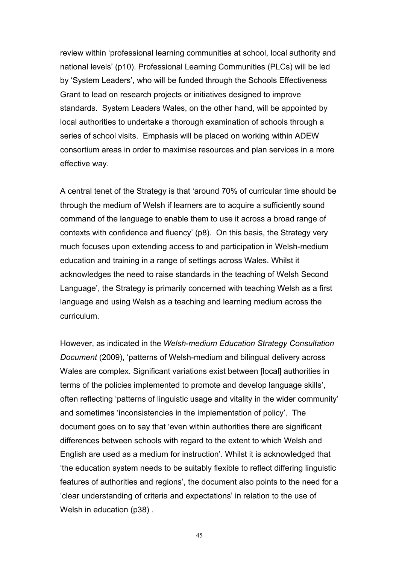review within 'professional learning communities at school, local authority and national levels' (p10). Professional Learning Communities (PLCs) will be led by 'System Leaders', who will be funded through the Schools Effectiveness Grant to lead on research projects or initiatives designed to improve standards. System Leaders Wales, on the other hand, will be appointed by local authorities to undertake a thorough examination of schools through a series of school visits. Emphasis will be placed on working within ADEW consortium areas in order to maximise resources and plan services in a more effective way.

A central tenet of the Strategy is that 'around 70% of curricular time should be through the medium of Welsh if learners are to acquire a sufficiently sound command of the language to enable them to use it across a broad range of contexts with confidence and fluency' (p8). On this basis, the Strategy very much focuses upon extending access to and participation in Welsh-medium education and training in a range of settings across Wales. Whilst it acknowledges the need to raise standards in the teaching of Welsh Second Language', the Strategy is primarily concerned with teaching Welsh as a first language and using Welsh as a teaching and learning medium across the curriculum.

However, as indicated in the *Welsh-medium Education Strategy Consultation Document* (2009), 'patterns of Welsh-medium and bilingual delivery across Wales are complex. Significant variations exist between [local] authorities in terms of the policies implemented to promote and develop language skills', often reflecting 'patterns of linguistic usage and vitality in the wider community' and sometimes 'inconsistencies in the implementation of policy'. The document goes on to say that 'even within authorities there are significant differences between schools with regard to the extent to which Welsh and English are used as a medium for instruction'. Whilst it is acknowledged that 'the education system needs to be suitably flexible to reflect differing linguistic features of authorities and regions', the document also points to the need for a 'clear understanding of criteria and expectations' in relation to the use of Welsh in education (p38) .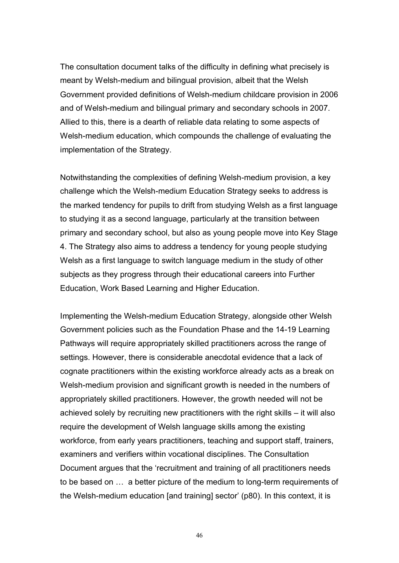The consultation document talks of the difficulty in defining what precisely is meant by Welsh-medium and bilingual provision, albeit that the Welsh Government provided definitions of Welsh-medium childcare provision in 2006 and of Welsh-medium and bilingual primary and secondary schools in 2007. Allied to this, there is a dearth of reliable data relating to some aspects of Welsh-medium education, which compounds the challenge of evaluating the implementation of the Strategy.

Notwithstanding the complexities of defining Welsh-medium provision, a key challenge which the Welsh-medium Education Strategy seeks to address is the marked tendency for pupils to drift from studying Welsh as a first language to studying it as a second language, particularly at the transition between primary and secondary school, but also as young people move into Key Stage 4. The Strategy also aims to address a tendency for young people studying Welsh as a first language to switch language medium in the study of other subjects as they progress through their educational careers into Further Education, Work Based Learning and Higher Education.

Implementing the Welsh-medium Education Strategy, alongside other Welsh Government policies such as the Foundation Phase and the 14-19 Learning Pathways will require appropriately skilled practitioners across the range of settings. However, there is considerable anecdotal evidence that a lack of cognate practitioners within the existing workforce already acts as a break on Welsh-medium provision and significant growth is needed in the numbers of appropriately skilled practitioners. However, the growth needed will not be achieved solely by recruiting new practitioners with the right skills – it will also require the development of Welsh language skills among the existing workforce, from early years practitioners, teaching and support staff, trainers, examiners and verifiers within vocational disciplines. The Consultation Document argues that the 'recruitment and training of all practitioners needs to be based on … a better picture of the medium to long-term requirements of the Welsh-medium education [and training] sector' (p80). In this context, it is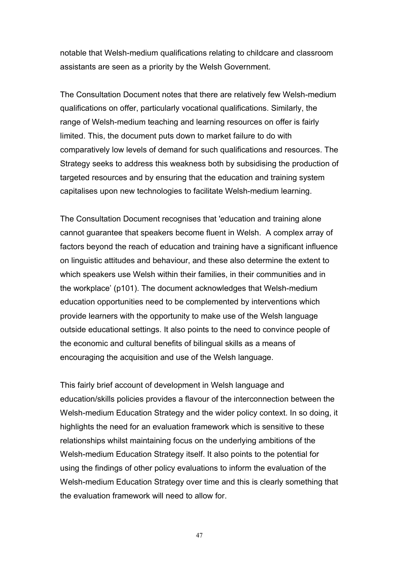notable that Welsh-medium qualifications relating to childcare and classroom assistants are seen as a priority by the Welsh Government.

The Consultation Document notes that there are relatively few Welsh-medium qualifications on offer, particularly vocational qualifications. Similarly, the range of Welsh-medium teaching and learning resources on offer is fairly limited. This, the document puts down to market failure to do with comparatively low levels of demand for such qualifications and resources. The Strategy seeks to address this weakness both by subsidising the production of targeted resources and by ensuring that the education and training system capitalises upon new technologies to facilitate Welsh-medium learning.

The Consultation Document recognises that 'education and training alone cannot guarantee that speakers become fluent in Welsh. A complex array of factors beyond the reach of education and training have a significant influence on linguistic attitudes and behaviour, and these also determine the extent to which speakers use Welsh within their families, in their communities and in the workplace' (p101). The document acknowledges that Welsh-medium education opportunities need to be complemented by interventions which provide learners with the opportunity to make use of the Welsh language outside educational settings. It also points to the need to convince people of the economic and cultural benefits of bilingual skills as a means of encouraging the acquisition and use of the Welsh language.

This fairly brief account of development in Welsh language and education/skills policies provides a flavour of the interconnection between the Welsh-medium Education Strategy and the wider policy context. In so doing, it highlights the need for an evaluation framework which is sensitive to these relationships whilst maintaining focus on the underlying ambitions of the Welsh-medium Education Strategy itself. It also points to the potential for using the findings of other policy evaluations to inform the evaluation of the Welsh-medium Education Strategy over time and this is clearly something that the evaluation framework will need to allow for.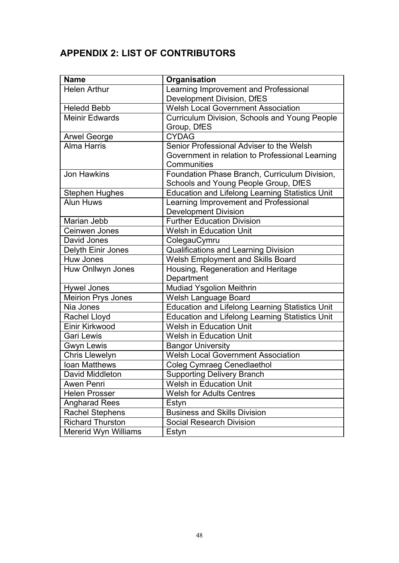# <span id="page-48-0"></span>**APPENDIX 2: LIST OF CONTRIBUTORS**

| <b>Name</b>               | Organisation                                           |
|---------------------------|--------------------------------------------------------|
| <b>Helen Arthur</b>       | Learning Improvement and Professional                  |
|                           | Development Division, DfES                             |
| <b>Heledd Bebb</b>        | <b>Welsh Local Government Association</b>              |
| <b>Meinir Edwards</b>     | Curriculum Division, Schools and Young People          |
|                           | Group, DfES                                            |
| <b>Arwel George</b>       | <b>CYDAG</b>                                           |
| <b>Alma Harris</b>        | Senior Professional Adviser to the Welsh               |
|                           | Government in relation to Professional Learning        |
|                           | Communities                                            |
| <b>Jon Hawkins</b>        | Foundation Phase Branch, Curriculum Division,          |
|                           | Schools and Young People Group, DfES                   |
| <b>Stephen Hughes</b>     | <b>Education and Lifelong Learning Statistics Unit</b> |
| <b>Alun Huws</b>          | Learning Improvement and Professional                  |
|                           | <b>Development Division</b>                            |
| Marian Jebb               | <b>Further Education Division</b>                      |
| Ceinwen Jones             | <b>Welsh in Education Unit</b>                         |
| David Jones               | ColegauCymru                                           |
| Delyth Einir Jones        | <b>Qualifications and Learning Division</b>            |
| Huw Jones                 | Welsh Employment and Skills Board                      |
| Huw Onllwyn Jones         | Housing, Regeneration and Heritage                     |
|                           | Department                                             |
| Hywel Jones               | <b>Mudiad Ysgolion Meithrin</b>                        |
| <b>Meirion Prys Jones</b> | Welsh Language Board                                   |
| Nia Jones                 | <b>Education and Lifelong Learning Statistics Unit</b> |
| Rachel Lloyd              | <b>Education and Lifelong Learning Statistics Unit</b> |
| Einir Kirkwood            | <b>Welsh in Education Unit</b>                         |
| <b>Gari Lewis</b>         | <b>Welsh in Education Unit</b>                         |
| Gwyn Lewis                | <b>Bangor University</b>                               |
| <b>Chris Llewelyn</b>     | <b>Welsh Local Government Association</b>              |
| Ioan Matthews             | <b>Coleg Cymraeg Cenedlaethol</b>                      |
| David Middleton           | <b>Supporting Delivery Branch</b>                      |
| Awen Penri                | <b>Welsh in Education Unit</b>                         |
| <b>Helen Prosser</b>      | <b>Welsh for Adults Centres</b>                        |
| <b>Angharad Rees</b>      | Estyn                                                  |
| <b>Rachel Stephens</b>    | <b>Business and Skills Division</b>                    |
| <b>Richard Thurston</b>   | <b>Social Research Division</b>                        |
| Mererid Wyn Williams      | Estyn                                                  |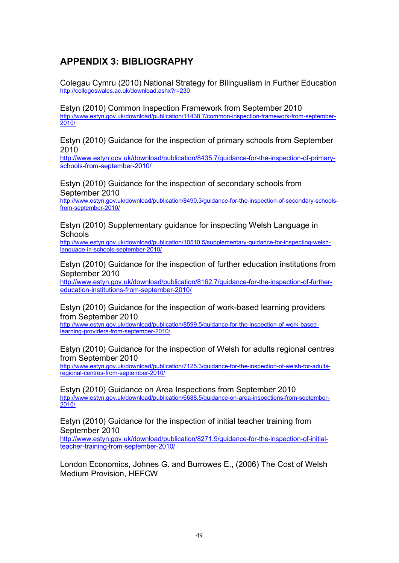### <span id="page-49-0"></span>**APPENDIX 3: BIBLIOGRAPHY**

Colegau Cymru (2010) National Strategy for Bilingualism in Further Education <http://collegeswales.ac.uk/download.ashx?r=230>

Estyn (2010) Common Inspection Framework from September 2010 [http://www.estyn.gov.uk/download/publication/11438.7/common-inspection-framework-from-september-](http://www.estyn.gov.uk/download/publication/11438.7/common-inspection-framework-from-september-2010/)[2010/](http://www.estyn.gov.uk/download/publication/11438.7/common-inspection-framework-from-september-2010/)

Estyn (2010) Guidance for the inspection of primary schools from September 2010

[http://www.estyn.gov.uk/download/publication/8435.7/guidance-for-the-inspection-of-primary](http://www.estyn.gov.uk/download/publication/8435.7/guidance-for-the-inspection-of-primary-schools-from-september-2010/)[schools-from-september-2010/](http://www.estyn.gov.uk/download/publication/8435.7/guidance-for-the-inspection-of-primary-schools-from-september-2010/)

Estyn (2010) Guidance for the inspection of secondary schools from September 2010

[http://www.estyn.gov.uk/download/publication/8490.3/guidance-for-the-inspection-of-secondary-schools](http://www.estyn.gov.uk/download/publication/8490.3/guidance-for-the-inspection-of-secondary-schools-from-september-2010/)[from-september-2010/](http://www.estyn.gov.uk/download/publication/8490.3/guidance-for-the-inspection-of-secondary-schools-from-september-2010/)

Estyn (2010) Supplementary guidance for inspecting Welsh Language in Schools

[http://www.estyn.gov.uk/download/publication/10510.5/supplementary-guidance-for-inspecting-welsh](http://www.estyn.gov.uk/download/publication/10510.5/supplementary-guidance-for-inspecting-welsh-language-in-schools-september-2010/)[language-in-schools-september-2010/](http://www.estyn.gov.uk/download/publication/10510.5/supplementary-guidance-for-inspecting-welsh-language-in-schools-september-2010/)

Estyn (2010) Guidance for the inspection of further education institutions from September 2010

[http://www.estyn.gov.uk/download/publication/8162.7/guidance-for-the-inspection-of-further](http://www.estyn.gov.uk/download/publication/8162.7/guidance-for-the-inspection-of-further-education-institutions-from-september-2010/)[education-institutions-from-september-2010/](http://www.estyn.gov.uk/download/publication/8162.7/guidance-for-the-inspection-of-further-education-institutions-from-september-2010/)

Estyn (2010) Guidance for the inspection of work-based learning providers from September 2010

[http://www.estyn.gov.uk/download/publication/8599.5/guidance-for-the-inspection-of-work-based](http://www.estyn.gov.uk/download/publication/8599.5/guidance-for-the-inspection-of-work-based-learning-providers-from-september-2010/)[learning-providers-from-september-2010/](http://www.estyn.gov.uk/download/publication/8599.5/guidance-for-the-inspection-of-work-based-learning-providers-from-september-2010/)

Estyn (2010) Guidance for the inspection of Welsh for adults regional centres from September 2010

[http://www.estyn.gov.uk/download/publication/7125.3/guidance-for-the-inspection-of-welsh-for-adults](http://www.estyn.gov.uk/download/publication/7125.3/guidance-for-the-inspection-of-welsh-for-adults-regional-centres-from-september-2010/)[regional-centres-from-september-2010/](http://www.estyn.gov.uk/download/publication/7125.3/guidance-for-the-inspection-of-welsh-for-adults-regional-centres-from-september-2010/)

Estyn (2010) Guidance on Area Inspections from September 2010 [http://www.estyn.gov.uk/download/publication/6688.5/guidance-on-area-inspections-from-september-](http://www.estyn.gov.uk/download/publication/6688.5/guidance-on-area-inspections-from-september-2010/)[2010/](http://www.estyn.gov.uk/download/publication/6688.5/guidance-on-area-inspections-from-september-2010/)

Estyn (2010) Guidance for the inspection of initial teacher training from September 2010 [http://www.estyn.gov.uk/download/publication/8271.9/guidance-for-the-inspection-of-initial](http://www.estyn.gov.uk/download/publication/8271.9/guidance-for-the-inspection-of-initial-teacher-training-from-september-2010/)[teacher-training-from-september-2010/](http://www.estyn.gov.uk/download/publication/8271.9/guidance-for-the-inspection-of-initial-teacher-training-from-september-2010/)

London Economics, Johnes G. and Burrowes E., (2006) The Cost of Welsh Medium Provision, HEFCW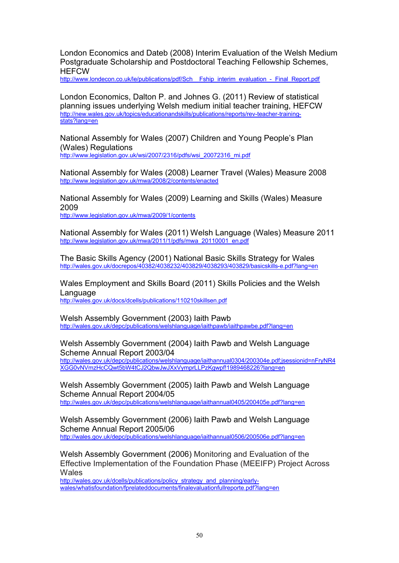London Economics and Dateb (2008) Interim Evaluation of the Welsh Medium Postgraduate Scholarship and Postdoctoral Teaching Fellowship Schemes, **HFFCW** 

[http://www.londecon.co.uk/le/publications/pdf/Sch\\_\\_Fship\\_interim\\_evaluation\\_-\\_Final\\_Report.pdf](http://www.londecon.co.uk/le/publications/pdf/Sch__Fship_interim_evaluation_-_Final_Report.pdf)

London Economics, Dalton P. and Johnes G. (2011) Review of statistical planning issues underlying Welsh medium initial teacher training, HEFCW [http://new.wales.gov.uk/topics/educationandskills/publications/reports/rev-teacher-training](http://new.wales.gov.uk/topics/educationandskills/publications/reports/rev-teacher-training-stats?lang=en)[stats?lang=en](http://new.wales.gov.uk/topics/educationandskills/publications/reports/rev-teacher-training-stats?lang=en)

National Assembly for Wales (2007) Children and Young People's Plan (Wales) Regulations [http://www.legislation.gov.uk/wsi/2007/2316/pdfs/wsi\\_20072316\\_mi.pdf](http://www.legislation.gov.uk/wsi/2007/2316/pdfs/wsi_20072316_mi.pdf)

National Assembly for Wales (2008) Learner Travel (Wales) Measure 2008 <http://www.legislation.gov.uk/mwa/2008/2/contents/enacted>

National Assembly for Wales (2009) Learning and Skills (Wales) Measure 2009

<http://www.legislation.gov.uk/mwa/2009/1/contents>

National Assembly for Wales (2011) Welsh Language (Wales) Measure 2011 [http://www.legislation.gov.uk/mwa/2011/1/pdfs/mwa\\_20110001\\_en.pdf](http://www.legislation.gov.uk/mwa/2011/1/pdfs/mwa_20110001_en.pdf)

The Basic Skills Agency (2001) National Basic Skills Strategy for Wales <http://wales.gov.uk/docrepos/40382/4038232/403829/4038293/403829/basicskills-e.pdf?lang=en>

Wales Employment and Skills Board (2011) Skills Policies and the Welsh Language <http://wales.gov.uk/docs/dcells/publications/110210skillsen.pdf>

Welsh Assembly Government (2003) Iaith Pawb <http://wales.gov.uk/depc/publications/welshlanguage/iaithpawb/iaithpawbe.pdf?lang=en>

Welsh Assembly Government (2004) Iaith Pawb and Welsh Language Scheme Annual Report 2003/04

[http://wales.gov.uk/depc/publications/welshlanguage/iaithannual0304/200304e.pdf;jsessionid=nFryNR4](http://wales.gov.uk/depc/publications/welshlanguage/iaithannual0304/200304e.pdf;jsessionid=nFryNR4XGG0vNVmzHcCQwt5bW4tCJ2QbwJwJXxVymprLLPzKgwpf!1989468226?lang=en) [XGG0vNVmzHcCQwt5bW4tCJ2QbwJwJXxVymprLLPzKgwpf!1989468226?lang=en](http://wales.gov.uk/depc/publications/welshlanguage/iaithannual0304/200304e.pdf;jsessionid=nFryNR4XGG0vNVmzHcCQwt5bW4tCJ2QbwJwJXxVymprLLPzKgwpf!1989468226?lang=en)

Welsh Assembly Government (2005) Iaith Pawb and Welsh Language Scheme Annual Report 2004/05 <http://wales.gov.uk/depc/publications/welshlanguage/iaithannual0405/200405e.pdf?lang=en>

Welsh Assembly Government (2006) Iaith Pawb and Welsh Language Scheme Annual Report 2005/06 <http://wales.gov.uk/depc/publications/welshlanguage/iaithannual0506/200506e.pdf?lang=en>

Welsh Assembly Government (2006) Monitoring and Evaluation of the Effective Implementation of the Foundation Phase (MEEIFP) Project Across **Wales** 

[http://wales.gov.uk/dcells/publications/policy\\_strategy\\_and\\_planning/early](http://wales.gov.uk/dcells/publications/policy_strategy_and_planning/early-wales/whatisfoundation/fprelateddocuments/finalevaluationfullreporte.pdf?lang=en)[wales/whatisfoundation/fprelateddocuments/finalevaluationfullreporte.pdf?lang=en](http://wales.gov.uk/dcells/publications/policy_strategy_and_planning/early-wales/whatisfoundation/fprelateddocuments/finalevaluationfullreporte.pdf?lang=en)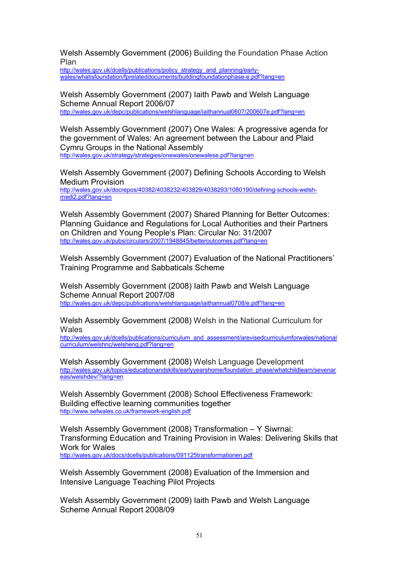Welsh Assembly Government (2006) Building the Foundation Phase Action Plan

[http://wales.gov.uk/dcells/publications/policy\\_strategy\\_and\\_planning/early](http://wales.gov.uk/dcells/publications/policy_strategy_and_planning/early-wales/whatisfoundation/fprelateddocuments/buildingfoundationphase-e.pdf?lang=en)[wales/whatisfoundation/fprelateddocuments/buildingfoundationphase-e.pdf?lang=en](http://wales.gov.uk/dcells/publications/policy_strategy_and_planning/early-wales/whatisfoundation/fprelateddocuments/buildingfoundationphase-e.pdf?lang=en)

Welsh Assembly Government (2007) Iaith Pawb and Welsh Language Scheme Annual Report 2006/07 <http://wales.gov.uk/depc/publications/welshlanguage/iaithannual0607/200607e.pdf?lang=en>

Welsh Assembly Government (2007) One Wales: A progressive agenda for the government of Wales: An agreement between the Labour and Plaid Cymru Groups in the National Assembly <http://wales.gov.uk/strategy/strategies/onewales/onewalese.pdf?lang=en>

Welsh Assembly Government (2007) Defining Schools According to Welsh Medium Provision [http://wales.gov.uk/docrepos/40382/4038232/403829/4038293/1080190/defining-schools-welsh](http://wales.gov.uk/docrepos/40382/4038232/403829/4038293/1080190/defining-schools-welsh-medi2.pdf?lang=en)[medi2.pdf?lang=en](http://wales.gov.uk/docrepos/40382/4038232/403829/4038293/1080190/defining-schools-welsh-medi2.pdf?lang=en)

Welsh Assembly Government (2007) Shared Planning for Better Outcomes: Planning Guidance and Regulations for Local Authorities and their Partners on Children and Young People's Plan: Circular No: 31/2007 <http://wales.gov.uk/pubs/circulars/2007/1948845/betteroutcomes.pdf?lang=en>

Welsh Assembly Government (2007) Evaluation of the National Practitioners' Training Programme and Sabbaticals Scheme

Welsh Assembly Government (2008) Iaith Pawb and Welsh Language Scheme Annual Report 2007/08 <http://wales.gov.uk/depc/publications/welshlanguage/iaithannual0708/e.pdf?lang=en>

Welsh Assembly Government (2008) Welsh in the National Curriculum for **Wales** 

[http://wales.gov.uk/dcells/publications/curriculum\\_and\\_assessment/arevisedcurriculumforwales/national](http://wales.gov.uk/dcells/publications/curriculum_and_assessment/arevisedcurriculumforwales/nationalcurriculum/welshnc/welsheng.pdf?lang=en) [curriculum/welshnc/welsheng.pdf?lang=en](http://wales.gov.uk/dcells/publications/curriculum_and_assessment/arevisedcurriculumforwales/nationalcurriculum/welshnc/welsheng.pdf?lang=en)

Welsh Assembly Government (2008) Welsh Language Development [http://wales.gov.uk/topics/educationandskills/earlyyearshome/foundation\\_phase/whatchildlearn/sevenar](http://wales.gov.uk/topics/educationandskills/earlyyearshome/foundation_phase/whatchildlearn/sevenareas/welshdev/?lang=en) [eas/welshdev/?lang=en](http://wales.gov.uk/topics/educationandskills/earlyyearshome/foundation_phase/whatchildlearn/sevenareas/welshdev/?lang=en)

Welsh Assembly Government (2008) School Effectiveness Framework: Building effective learning communities together <http://www.sefwales.co.uk/framework-english.pdf>

Welsh Assembly Government (2008) Transformation – Y Siwrnai: Transforming Education and Training Provision in Wales: Delivering Skills that Work for Wales <http://wales.gov.uk/docs/dcells/publications/091125transformationen.pdf>

Welsh Assembly Government (2008) Evaluation of the Immersion and Intensive Language Teaching Pilot Projects

Welsh Assembly Government (2009) Iaith Pawb and Welsh Language Scheme Annual Report 2008/09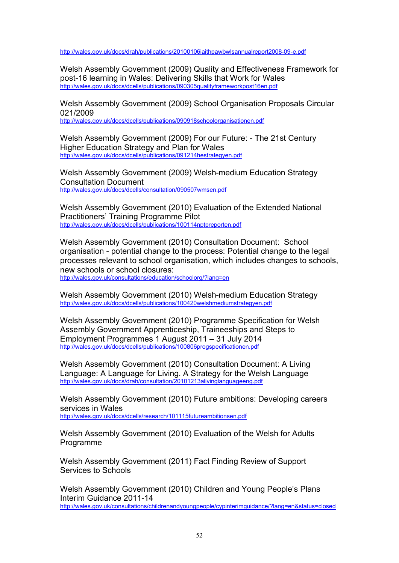<http://wales.gov.uk/docs/drah/publications/20100106iaithpawbwlsannualreport2008-09-e.pdf>

Welsh Assembly Government (2009) Quality and Effectiveness Framework for post-16 learning in Wales: Delivering Skills that Work for Wales <http://wales.gov.uk/docs/dcells/publications/090305qualityframeworkpost16en.pdf>

Welsh Assembly Government (2009) School Organisation Proposals Circular 021/2009

<http://wales.gov.uk/docs/dcells/publications/090918schoolorganisationen.pdf>

Welsh Assembly Government (2009) For our Future: - The 21st Century Higher Education Strategy and Plan for Wales <http://wales.gov.uk/docs/dcells/publications/091214hestrategyen.pdf>

Welsh Assembly Government (2009) Welsh-medium Education Strategy Consultation Document <http://wales.gov.uk/docs/dcells/consultation/090507wmsen.pdf>

Welsh Assembly Government (2010) Evaluation of the Extended National Practitioners' Training Programme Pilot <http://wales.gov.uk/docs/dcells/publications/100114nptpreporten.pdf>

Welsh Assembly Government (2010) Consultation Document: School organisation - potential change to the process: Potential change to the legal processes relevant to school organisation, which includes changes to schools, new schools or school closures:

<http://wales.gov.uk/consultations/education/schoolorg/?lang=en>

Welsh Assembly Government (2010) Welsh-medium Education Strategy <http://wales.gov.uk/docs/dcells/publications/100420welshmediumstrategyen.pdf>

Welsh Assembly Government (2010) Programme Specification for Welsh Assembly Government Apprenticeship, Traineeships and Steps to Employment Programmes 1 August 2011 – 31 July 2014 <http://wales.gov.uk/docs/dcells/publications/100806progspecificationen.pdf>

Welsh Assembly Government (2010) Consultation Document: A Living Language: A Language for Living. A Strategy for the Welsh Language <http://wales.gov.uk/docs/drah/consultation/20101213alivinglanguageeng.pdf>

Welsh Assembly Government (2010) Future ambitions: Developing careers services in Wales <http://wales.gov.uk/docs/dcells/research/101115futureambitionsen.pdf>

Welsh Assembly Government (2010) Evaluation of the Welsh for Adults Programme

Welsh Assembly Government (2011) Fact Finding Review of Support Services to Schools

Welsh Assembly Government (2010) Children and Young People's Plans Interim Guidance 2011-14 <http://wales.gov.uk/consultations/childrenandyoungpeople/cypinterimguidance/?lang=en&status=closed>